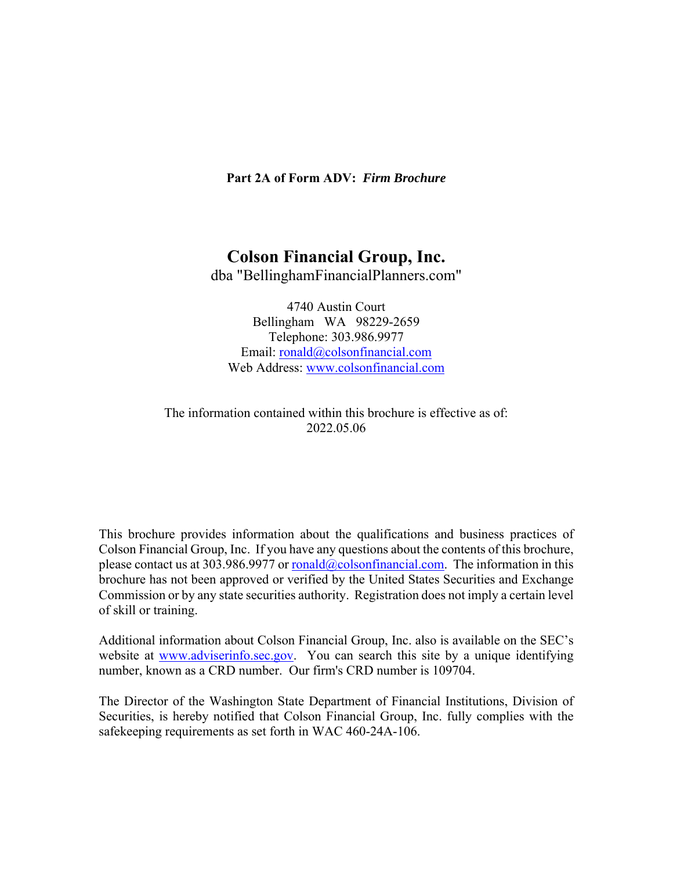### **Part 2A of Form ADV:** *Firm Brochure*

## **Colson Financial Group, Inc.**

dba "BellinghamFinancialPlanners.com"

4740 Austin Court Bellingham WA 98229-2659 Telephone: 303.986.9977 Email: ronald@colsonfinancial.com Web Address: www.colsonfinancial.com

The information contained within this brochure is effective as of: 2022.05.06

This brochure provides information about the qualifications and business practices of Colson Financial Group, Inc. If you have any questions about the contents of this brochure, please contact us at 303.986.9977 or ronald@colsonfinancial.com. The information in this brochure has not been approved or verified by the United States Securities and Exchange Commission or by any state securities authority. Registration does not imply a certain level of skill or training.

Additional information about Colson Financial Group, Inc. also is available on the SEC's website at www.adviserinfo.sec.gov. You can search this site by a unique identifying number, known as a CRD number. Our firm's CRD number is 109704.

The Director of the Washington State Department of Financial Institutions, Division of Securities, is hereby notified that Colson Financial Group, Inc. fully complies with the safekeeping requirements as set forth in WAC 460-24A-106.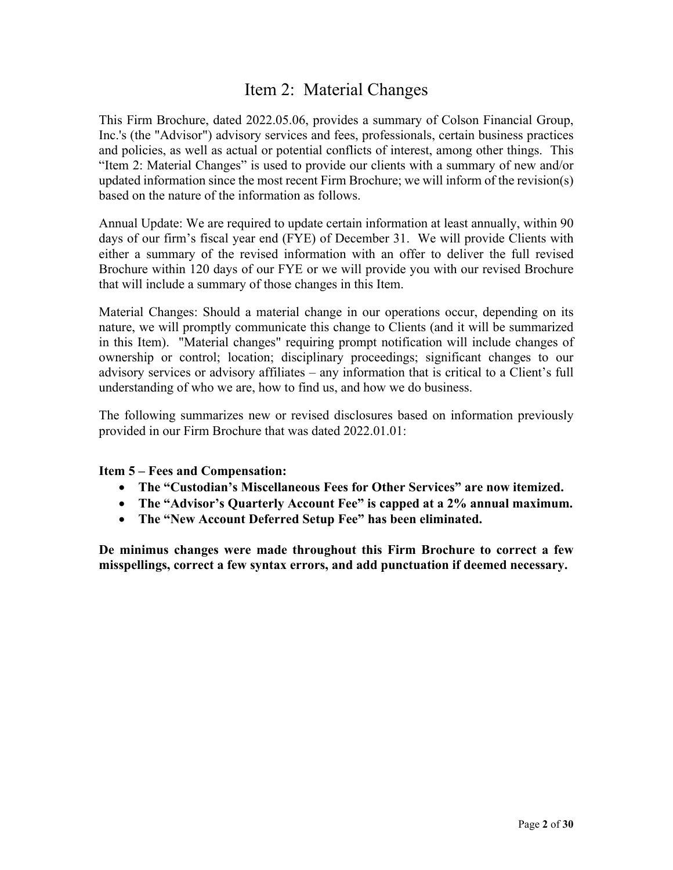## Item 2: Material Changes

This Firm Brochure, dated 2022.05.06, provides a summary of Colson Financial Group, Inc.'s (the "Advisor") advisory services and fees, professionals, certain business practices and policies, as well as actual or potential conflicts of interest, among other things. This "Item 2: Material Changes" is used to provide our clients with a summary of new and/or updated information since the most recent Firm Brochure; we will inform of the revision(s) based on the nature of the information as follows.

Annual Update: We are required to update certain information at least annually, within 90 days of our firm's fiscal year end (FYE) of December 31. We will provide Clients with either a summary of the revised information with an offer to deliver the full revised Brochure within 120 days of our FYE or we will provide you with our revised Brochure that will include a summary of those changes in this Item.

Material Changes: Should a material change in our operations occur, depending on its nature, we will promptly communicate this change to Clients (and it will be summarized in this Item). "Material changes" requiring prompt notification will include changes of ownership or control; location; disciplinary proceedings; significant changes to our advisory services or advisory affiliates – any information that is critical to a Client's full understanding of who we are, how to find us, and how we do business.

The following summarizes new or revised disclosures based on information previously provided in our Firm Brochure that was dated 2022.01.01:

**Item 5 – Fees and Compensation:** 

- **The "Custodian's Miscellaneous Fees for Other Services" are now itemized.**
- **The "Advisor's Quarterly Account Fee" is capped at a 2% annual maximum.**
- **The "New Account Deferred Setup Fee" has been eliminated.**

**De minimus changes were made throughout this Firm Brochure to correct a few misspellings, correct a few syntax errors, and add punctuation if deemed necessary.**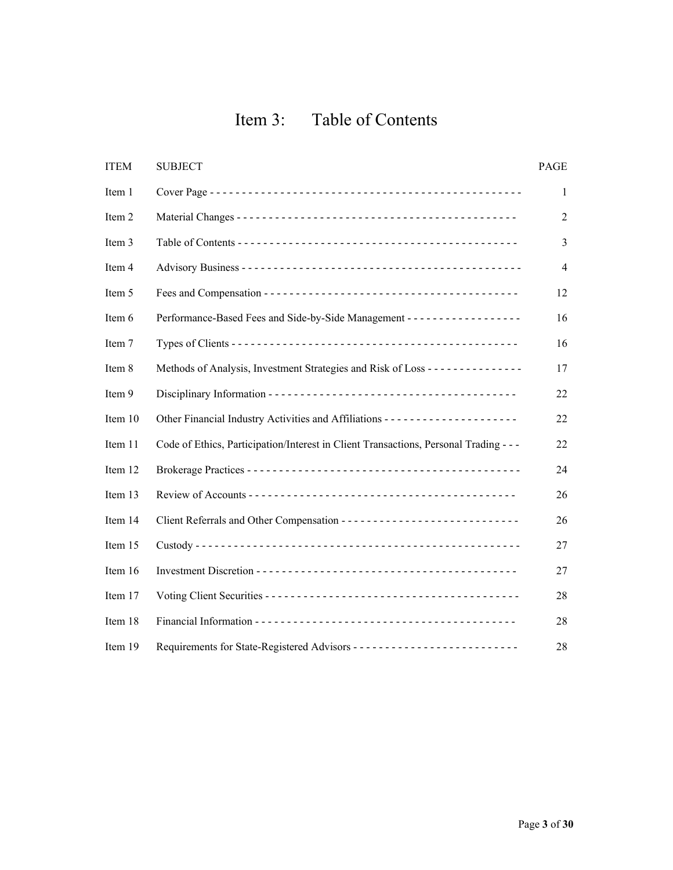# Item 3: Table of Contents

| <b>ITEM</b> | <b>SUBJECT</b>                                                                            | PAGE           |
|-------------|-------------------------------------------------------------------------------------------|----------------|
| Item 1      |                                                                                           | 1              |
| Item 2      |                                                                                           | $\overline{2}$ |
| Item 3      |                                                                                           | 3              |
| Item 4      |                                                                                           | $\overline{4}$ |
| Item 5      |                                                                                           | 12             |
| Item 6      | Performance-Based Fees and Side-by-Side Management - - - - - - - - - - - - - - - - - -    | 16             |
| Item 7      |                                                                                           | 16             |
| Item 8      | Methods of Analysis, Investment Strategies and Risk of Loss - - - - - - - - - - - - - - - | 17             |
| Item 9      |                                                                                           | 22             |
| Item 10     | Other Financial Industry Activities and Affiliations ---------------------                | 22             |
| Item 11     | Code of Ethics, Participation/Interest in Client Transactions, Personal Trading - - -     | 22             |
| Item 12     |                                                                                           | 24             |
| Item 13     |                                                                                           | 26             |
| Item 14     | Client Referrals and Other Compensation -----------------------------                     | 26             |
| Item 15     |                                                                                           | 27             |
| Item 16     |                                                                                           | 27             |
| Item 17     |                                                                                           | 28             |
| Item 18     |                                                                                           | 28             |
| Item 19     |                                                                                           | 28             |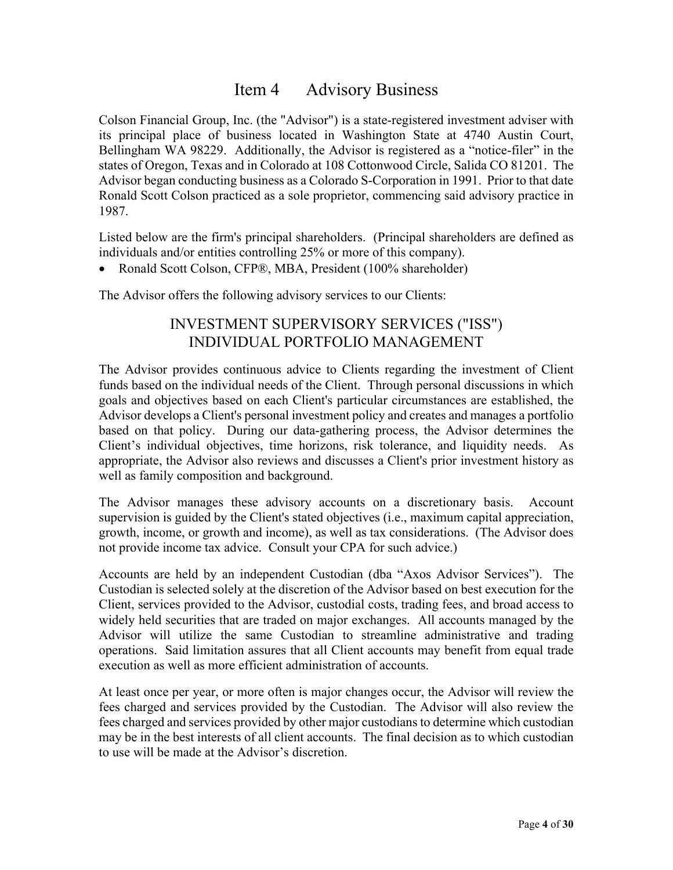## Item 4 Advisory Business

Colson Financial Group, Inc. (the "Advisor") is a state-registered investment adviser with its principal place of business located in Washington State at 4740 Austin Court, Bellingham WA 98229. Additionally, the Advisor is registered as a "notice-filer" in the states of Oregon, Texas and in Colorado at 108 Cottonwood Circle, Salida CO 81201. The Advisor began conducting business as a Colorado S-Corporation in 1991. Prior to that date Ronald Scott Colson practiced as a sole proprietor, commencing said advisory practice in 1987.

Listed below are the firm's principal shareholders. (Principal shareholders are defined as individuals and/or entities controlling 25% or more of this company).

• Ronald Scott Colson, CFP®, MBA, President (100% shareholder)

The Advisor offers the following advisory services to our Clients:

## INVESTMENT SUPERVISORY SERVICES ("ISS") INDIVIDUAL PORTFOLIO MANAGEMENT

The Advisor provides continuous advice to Clients regarding the investment of Client funds based on the individual needs of the Client. Through personal discussions in which goals and objectives based on each Client's particular circumstances are established, the Advisor develops a Client's personal investment policy and creates and manages a portfolio based on that policy. During our data-gathering process, the Advisor determines the Client's individual objectives, time horizons, risk tolerance, and liquidity needs. As appropriate, the Advisor also reviews and discusses a Client's prior investment history as well as family composition and background.

The Advisor manages these advisory accounts on a discretionary basis. Account supervision is guided by the Client's stated objectives (i.e., maximum capital appreciation, growth, income, or growth and income), as well as tax considerations. (The Advisor does not provide income tax advice. Consult your CPA for such advice.)

Accounts are held by an independent Custodian (dba "Axos Advisor Services"). The Custodian is selected solely at the discretion of the Advisor based on best execution for the Client, services provided to the Advisor, custodial costs, trading fees, and broad access to widely held securities that are traded on major exchanges. All accounts managed by the Advisor will utilize the same Custodian to streamline administrative and trading operations. Said limitation assures that all Client accounts may benefit from equal trade execution as well as more efficient administration of accounts.

At least once per year, or more often is major changes occur, the Advisor will review the fees charged and services provided by the Custodian. The Advisor will also review the fees charged and services provided by other major custodians to determine which custodian may be in the best interests of all client accounts. The final decision as to which custodian to use will be made at the Advisor's discretion.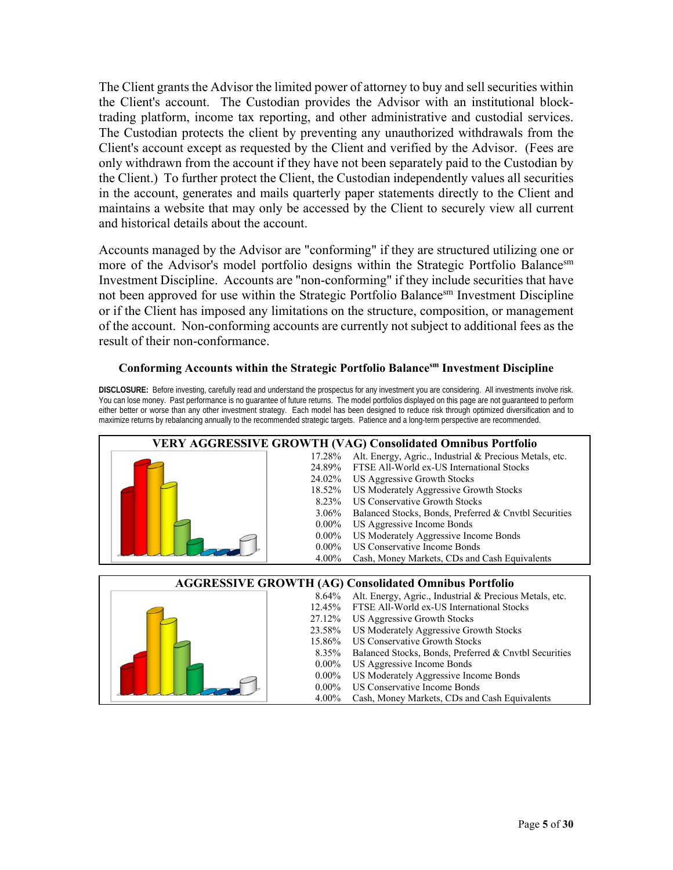The Client grants the Advisor the limited power of attorney to buy and sell securities within the Client's account. The Custodian provides the Advisor with an institutional blocktrading platform, income tax reporting, and other administrative and custodial services. The Custodian protects the client by preventing any unauthorized withdrawals from the Client's account except as requested by the Client and verified by the Advisor. (Fees are only withdrawn from the account if they have not been separately paid to the Custodian by the Client.) To further protect the Client, the Custodian independently values all securities in the account, generates and mails quarterly paper statements directly to the Client and maintains a website that may only be accessed by the Client to securely view all current and historical details about the account.

Accounts managed by the Advisor are "conforming" if they are structured utilizing one or more of the Advisor's model portfolio designs within the Strategic Portfolio Balancesm Investment Discipline. Accounts are "non-conforming" if they include securities that have not been approved for use within the Strategic Portfolio Balance<sup>sm</sup> Investment Discipline or if the Client has imposed any limitations on the structure, composition, or management of the account. Non-conforming accounts are currently not subject to additional fees as the result of their non-conformance.

### **Conforming Accounts within the Strategic Portfolio Balancesm Investment Discipline**

**DISCLOSURE:** Before investing, carefully read and understand the prospectus for any investment you are considering. All investments involve risk. You can lose money. Past performance is no guarantee of future returns. The model portfolios displayed on this page are not guaranteed to perform either better or worse than any other investment strategy. Each model has been designed to reduce risk through optimized diversification and to maximize returns by rebalancing annually to the recommended strategic targets. Patience and a long-term perspective are recommended.

|          | <b>VERY AGGRESSIVE GROWTH (VAG) Consolidated Omnibus Portfolio</b> |
|----------|--------------------------------------------------------------------|
|          | 17.28% Alt. Energy, Agric., Industrial & Precious Metals, etc.     |
| 24.89%   | FTSE All-World ex-US International Stocks                          |
| 24.02%   | US Aggressive Growth Stocks                                        |
| 18.52%   | US Moderately Aggressive Growth Stocks                             |
| 8.23%    | <b>US Conservative Growth Stocks</b>                               |
| $3.06\%$ | Balanced Stocks, Bonds, Preferred & Cnvtbl Securities              |
| $0.00\%$ | US Aggressive Income Bonds                                         |
| $0.00\%$ | US Moderately Aggressive Income Bonds                              |
| $0.00\%$ | US Conservative Income Bonds                                       |
| $4.00\%$ | Cash, Money Markets, CDs and Cash Equivalents                      |
|          |                                                                    |
|          | <b>AGGRESSIVE GROWTH (AG) Consolidated Omnibus Portfolio</b>       |
|          | 8.64% Alt. Energy, Agric., Industrial & Precious Metals, etc.      |
|          | 12.45% FTSE All-World ex-US International Stocks                   |
|          | 27.12% US Aggressive Growth Stocks                                 |
| 23.58%   | US Moderately Aggressive Growth Stocks                             |
| 15.86%   | <b>US Conservative Growth Stocks</b>                               |
|          |                                                                    |
| 8.35%    | Balanced Stocks, Bonds, Preferred & Cnvtbl Securities              |
| $0.00\%$ | US Aggressive Income Bonds                                         |
| $0.00\%$ | US Moderately Aggressive Income Bonds                              |
| $0.00\%$ | US Conservative Income Bonds                                       |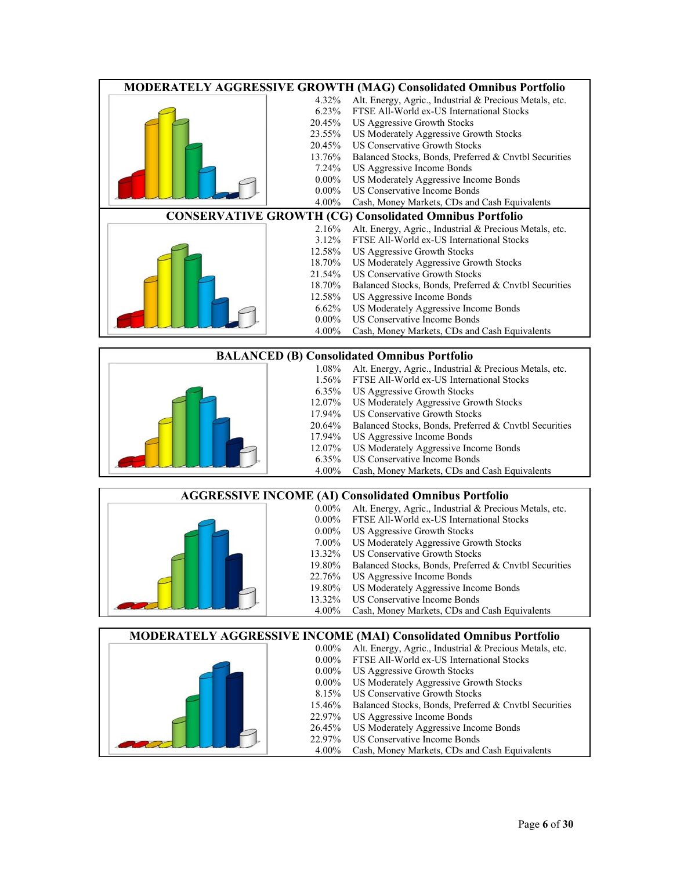| MODERATELY AGGRESSIVE GROWTH (MAG) Consolidated Omnibus Portfolio |          |                                                         |  |  |
|-------------------------------------------------------------------|----------|---------------------------------------------------------|--|--|
|                                                                   | 4.32%    | Alt. Energy, Agric., Industrial & Precious Metals, etc. |  |  |
|                                                                   | 6.23%    | FTSE All-World ex-US International Stocks               |  |  |
|                                                                   |          | 20.45% US Aggressive Growth Stocks                      |  |  |
|                                                                   | 23.55%   | US Moderately Aggressive Growth Stocks                  |  |  |
|                                                                   | 20.45%   | US Conservative Growth Stocks                           |  |  |
|                                                                   | 13.76%   | Balanced Stocks, Bonds, Preferred & Cnvtbl Securities   |  |  |
|                                                                   | 7.24%    | US Aggressive Income Bonds                              |  |  |
|                                                                   | $0.00\%$ | US Moderately Aggressive Income Bonds                   |  |  |
|                                                                   | $0.00\%$ | US Conservative Income Bonds                            |  |  |
|                                                                   | 4.00%    | Cash, Money Markets, CDs and Cash Equivalents           |  |  |
| <b>CONSERVATIVE GROWTH (CG) Consolidated Omnibus Portfolio</b>    |          |                                                         |  |  |
|                                                                   | 2.16%    | Alt. Energy, Agric., Industrial & Precious Metals, etc. |  |  |
|                                                                   | 3.12%    | FTSE All-World ex-US International Stocks               |  |  |
|                                                                   |          | 12.58% US Aggressive Growth Stocks                      |  |  |
|                                                                   | 18.70%   | US Moderately Aggressive Growth Stocks                  |  |  |
|                                                                   | 21.54%   | US Conservative Growth Stocks                           |  |  |
|                                                                   | 18.70%   | Balanced Stocks, Bonds, Preferred & Cnvtbl Securities   |  |  |
|                                                                   | 12.58%   | US Aggressive Income Bonds                              |  |  |
|                                                                   | $6.62\%$ | US Moderately Aggressive Income Bonds                   |  |  |
|                                                                   | $0.00\%$ | US Conservative Income Bonds                            |  |  |
|                                                                   | 4.00%    | Cash, Money Markets, CDs and Cash Equivalents           |  |  |
|                                                                   |          |                                                         |  |  |

|          | <b>BALANCED (B) Consolidated Omnibus Portfolio</b>      |
|----------|---------------------------------------------------------|
| 1.08%    | Alt. Energy, Agric., Industrial & Precious Metals, etc. |
| $1.56\%$ | FTSE All-World ex-US International Stocks               |
| $6.35\%$ | US Aggressive Growth Stocks                             |
| 12.07%   | US Moderately Aggressive Growth Stocks                  |
| 17.94%   | US Conservative Growth Stocks                           |
| 20.64%   | Balanced Stocks, Bonds, Preferred & Cnvtbl Securities   |
| 17.94%   | US Aggressive Income Bonds                              |
| 12.07%   | US Moderately Aggressive Income Bonds                   |
| 6.35%    | US Conservative Income Bonds                            |
| 4.00%    | Cash, Money Markets, CDs and Cash Equivalents           |
|          |                                                         |

|          | <b>AGGRESSIVE INCOME (AI) Consolidated Omnibus Portfolio</b> |
|----------|--------------------------------------------------------------|
| $0.00\%$ | Alt. Energy, Agric., Industrial & Precious Metals, etc.      |
| $0.00\%$ | FTSE All-World ex-US International Stocks                    |
| $0.00\%$ | US Aggressive Growth Stocks                                  |
| $7.00\%$ | US Moderately Aggressive Growth Stocks                       |
| 13.32%   | US Conservative Growth Stocks                                |
| 19.80%   | Balanced Stocks, Bonds, Preferred & Cnvtbl Securities        |
| 22.76%   | US Aggressive Income Bonds                                   |
| 19.80%   | US Moderately Aggressive Income Bonds                        |
| 13.32%   | US Conservative Income Bonds                                 |
| $4.00\%$ | Cash, Money Markets, CDs and Cash Equivalents                |
|          |                                                              |

|          | <b>MODERATELY AGGRESSIVE INCOME (MAI) Consolidated Omnibus Portfolio</b> |
|----------|--------------------------------------------------------------------------|
| $0.00\%$ | Alt. Energy, Agric., Industrial & Precious Metals, etc.                  |
| $0.00\%$ | FTSE All-World ex-US International Stocks                                |
| $0.00\%$ | US Aggressive Growth Stocks                                              |
| $0.00\%$ | US Moderately Aggressive Growth Stocks                                   |
| 8.15%    | <b>US Conservative Growth Stocks</b>                                     |
| 15.46%   | Balanced Stocks, Bonds, Preferred & Cnvtbl Securities                    |
| 22.97%   | US Aggressive Income Bonds                                               |
| 26.45%   | US Moderately Aggressive Income Bonds                                    |
| 22.97%   | US Conservative Income Bonds                                             |
| 4.00%    | Cash, Money Markets, CDs and Cash Equivalents                            |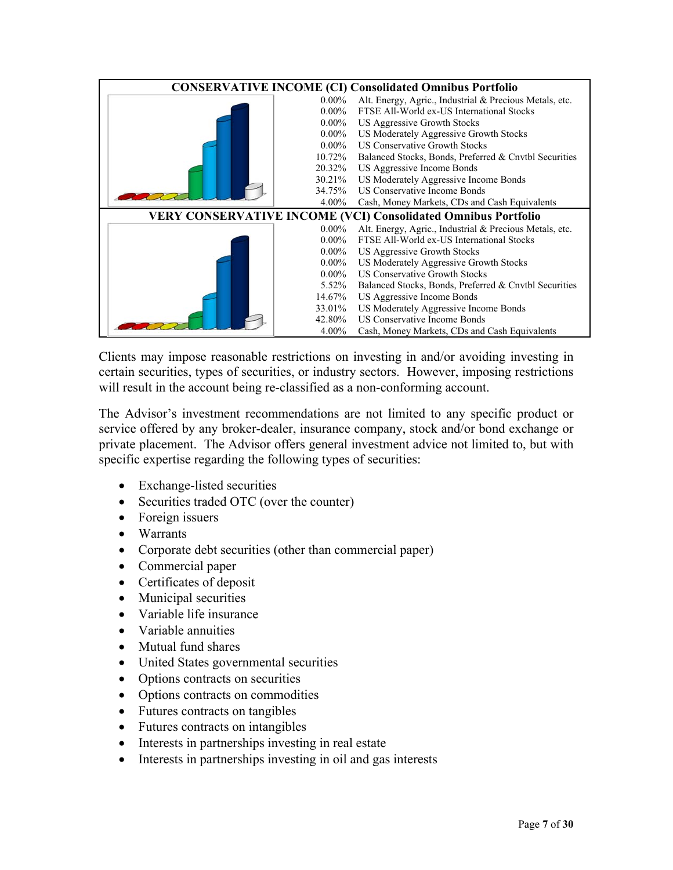| <b>CONSERVATIVE INCOME (CI) Consolidated Omnibus Portfolio</b> |          |                                                                      |  |
|----------------------------------------------------------------|----------|----------------------------------------------------------------------|--|
|                                                                | $0.00\%$ | Alt. Energy, Agric., Industrial & Precious Metals, etc.              |  |
|                                                                | $0.00\%$ | FTSE All-World ex-US International Stocks                            |  |
|                                                                | $0.00\%$ | US Aggressive Growth Stocks                                          |  |
|                                                                | $0.00\%$ | US Moderately Aggressive Growth Stocks                               |  |
|                                                                | $0.00\%$ | US Conservative Growth Stocks                                        |  |
|                                                                | 10.72%   | Balanced Stocks, Bonds, Preferred & Cnvtbl Securities                |  |
|                                                                | 20.32%   | US Aggressive Income Bonds                                           |  |
|                                                                | 30.21%   | US Moderately Aggressive Income Bonds                                |  |
|                                                                | 34.75%   | US Conservative Income Bonds                                         |  |
|                                                                | $4.00\%$ | Cash, Money Markets, CDs and Cash Equivalents                        |  |
|                                                                |          | <b>VERY CONSERVATIVE INCOME (VCI) Consolidated Omnibus Portfolio</b> |  |
|                                                                | $0.00\%$ | Alt. Energy, Agric., Industrial & Precious Metals, etc.              |  |
|                                                                | $0.00\%$ | FTSE All-World ex-US International Stocks                            |  |
|                                                                |          |                                                                      |  |
|                                                                | $0.00\%$ | US Aggressive Growth Stocks                                          |  |
|                                                                | $0.00\%$ | US Moderately Aggressive Growth Stocks                               |  |
|                                                                | $0.00\%$ | US Conservative Growth Stocks                                        |  |
|                                                                | 5.52%    | Balanced Stocks, Bonds, Preferred & Cnvtbl Securities                |  |
|                                                                | 14.67%   | US Aggressive Income Bonds                                           |  |
|                                                                | 33.01%   | US Moderately Aggressive Income Bonds                                |  |
|                                                                | 42.80%   | US Conservative Income Bonds                                         |  |

Clients may impose reasonable restrictions on investing in and/or avoiding investing in certain securities, types of securities, or industry sectors. However, imposing restrictions will result in the account being re-classified as a non-conforming account.

The Advisor's investment recommendations are not limited to any specific product or service offered by any broker-dealer, insurance company, stock and/or bond exchange or private placement. The Advisor offers general investment advice not limited to, but with specific expertise regarding the following types of securities:

- Exchange-listed securities
- Securities traded OTC (over the counter)
- Foreign issuers
- Warrants
- Corporate debt securities (other than commercial paper)
- Commercial paper
- Certificates of deposit
- Municipal securities
- Variable life insurance
- Variable annuities
- Mutual fund shares
- United States governmental securities
- Options contracts on securities
- Options contracts on commodities
- Futures contracts on tangibles
- Futures contracts on intangibles
- Interests in partnerships investing in real estate
- Interests in partnerships investing in oil and gas interests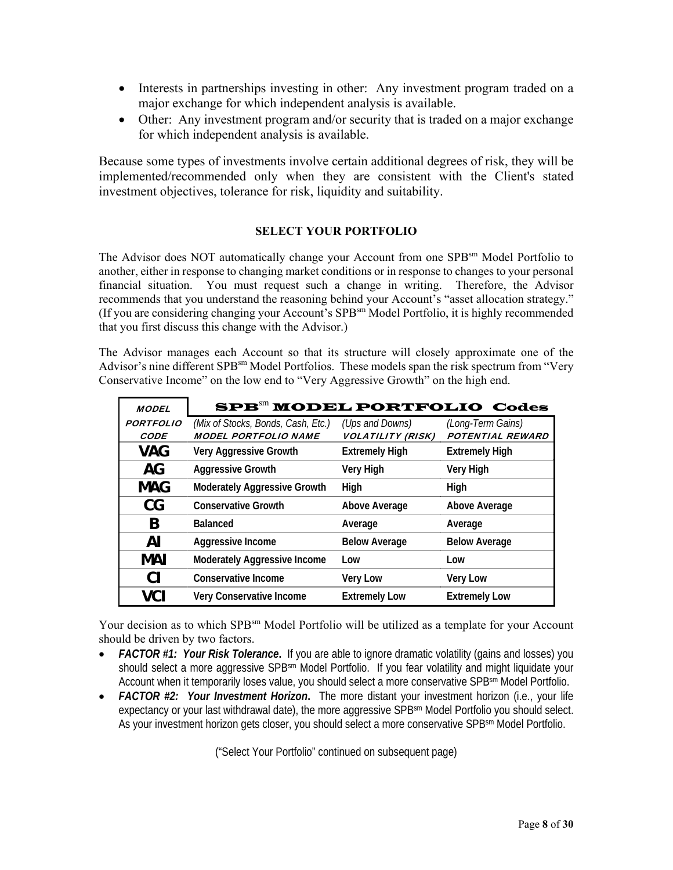- Interests in partnerships investing in other: Any investment program traded on a major exchange for which independent analysis is available.
- Other: Any investment program and/or security that is traded on a major exchange for which independent analysis is available.

Because some types of investments involve certain additional degrees of risk, they will be implemented/recommended only when they are consistent with the Client's stated investment objectives, tolerance for risk, liquidity and suitability.

### **SELECT YOUR PORTFOLIO**

The Advisor does NOT automatically change your Account from one SPB<sup>sm</sup> Model Portfolio to another, either in response to changing market conditions or in response to changes to your personal financial situation. You must request such a change in writing. Therefore, the Advisor recommends that you understand the reasoning behind your Account's "asset allocation strategy." (If you are considering changing your Account's SPBsm Model Portfolio, it is highly recommended that you first discuss this change with the Advisor.)

The Advisor manages each Account so that its structure will closely approximate one of the Advisor's nine different SPB<sup>sm</sup> Model Portfolios. These models span the risk spectrum from "Very Conservative Income" on the low end to "Very Aggressive Growth" on the high end.

| <b>MODEL</b>     | SPB <sup>SII</sup> MODEL PORTFOLIO Codes |                          |                         |
|------------------|------------------------------------------|--------------------------|-------------------------|
| <b>PORTFOLIO</b> | (Mix of Stocks, Bonds, Cash, Etc.)       | (Ups and Downs)          | (Long-Term Gains)       |
| <b>CODE</b>      | <b>MODEL PORTFOLIO NAME</b>              | <b>VOLATILITY (RISK)</b> | <b>POTENTIAL REWARD</b> |
| VAG              | <b>Very Aggressive Growth</b>            | <b>Extremely High</b>    | <b>Extremely High</b>   |
| AG               | <b>Aggressive Growth</b>                 | <b>Very High</b>         | <b>Very High</b>        |
| <b>MAG</b>       | <b>Moderately Aggressive Growth</b>      | High                     | High                    |
| CG               | <b>Conservative Growth</b>               | Above Average            | <b>Above Average</b>    |
| B                | <b>Balanced</b>                          | Average                  | Average                 |
| ΑI               | Aggressive Income                        | <b>Below Average</b>     | <b>Below Average</b>    |
| MAI              | <b>Moderately Aggressive Income</b>      | Low                      | Low                     |
| CI.              | Conservative Income                      | <b>Very Low</b>          | <b>Very Low</b>         |
| VCI              | Very Conservative Income                 | <b>Extremely Low</b>     | <b>Extremely Low</b>    |

Your decision as to which SPB<sup>sm</sup> Model Portfolio will be utilized as a template for your Account should be driven by two factors.

- FACTOR #1: Your Risk Tolerance. If you are able to ignore dramatic volatility (gains and losses) you should select a more aggressive SPB<sup>sm</sup> Model Portfolio. If you fear volatility and might liquidate your Account when it temporarily loses value, you should select a more conservative SPBsm Model Portfolio.
- *FACTOR #2: Your Investment Horizon***.** The more distant your investment horizon (i.e., your life expectancy or your last withdrawal date), the more aggressive SPB<sup>sm</sup> Model Portfolio you should select. As your investment horizon gets closer, you should select a more conservative SPB<sup>sm</sup> Model Portfolio.

("Select Your Portfolio" continued on subsequent page)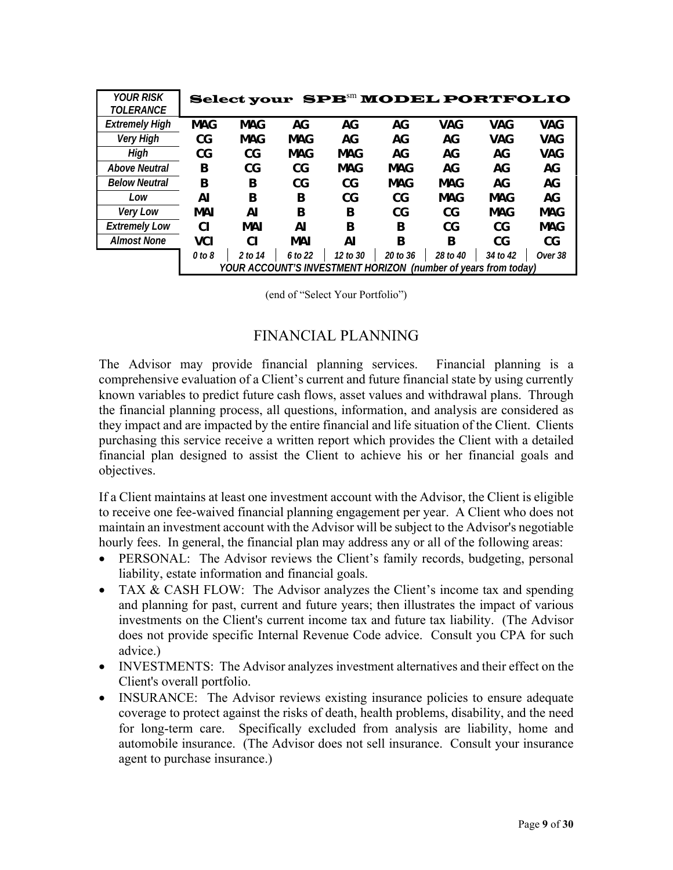| <b>YOUR RISK</b>      |                                                                |            |            | Select your SPB <sup>SII</sup> MODEL PORTFOLIO |          |          |            |            |
|-----------------------|----------------------------------------------------------------|------------|------------|------------------------------------------------|----------|----------|------------|------------|
| <b>TOLERANCE</b>      |                                                                |            |            |                                                |          |          |            |            |
| <b>Extremely High</b> | <b>MAG</b>                                                     | <b>MAG</b> | AG         | AG                                             | AG       | VAG      | <b>VAG</b> | <b>VAG</b> |
| Very High             | CG                                                             | MAG        | MAG        | AG                                             | AG       | AG       | VAG        | <b>VAG</b> |
| High                  | CG                                                             | CG         | <b>MAG</b> | <b>MAG</b>                                     | AG.      | AG       | AG         | <b>VAG</b> |
| <b>Above Neutral</b>  | B                                                              | CG         | CG         | MAG                                            | MAG      | AG       | AG         | AG         |
| <b>Below Neutral</b>  | B                                                              | B          | CG         | CG                                             | MAG      | MAG      | AG         | AG         |
| Low                   | Al                                                             | B          | B          | CG                                             | CG       | MAG      | MAG        | AG         |
| Very Low              | <b>MAI</b>                                                     | ΑI         | B          | B                                              | CG       | CG       | MAG        | <b>MAG</b> |
| <b>Extremely Low</b>  | СI                                                             | MAI        | Al         | B                                              | B        | CG       | CG         | <b>MAG</b> |
| <b>Almost None</b>    | <b>VCI</b>                                                     | CI.        | MAI        | ΑI                                             | B        | B        | CG         | CG         |
|                       | $0$ to $8$                                                     | 2 to 14    | 6 to 22    | 12 to 30                                       | 20 to 36 | 28 to 40 | 34 to 42   | Over 38    |
|                       | YOUR ACCOUNT'S INVESTMENT HORIZON (number of years from today) |            |            |                                                |          |          |            |            |

(end of "Select Your Portfolio")

### FINANCIAL PLANNING

The Advisor may provide financial planning services. Financial planning is a comprehensive evaluation of a Client's current and future financial state by using currently known variables to predict future cash flows, asset values and withdrawal plans. Through the financial planning process, all questions, information, and analysis are considered as they impact and are impacted by the entire financial and life situation of the Client. Clients purchasing this service receive a written report which provides the Client with a detailed financial plan designed to assist the Client to achieve his or her financial goals and objectives.

If a Client maintains at least one investment account with the Advisor, the Client is eligible to receive one fee-waived financial planning engagement per year. A Client who does not maintain an investment account with the Advisor will be subject to the Advisor's negotiable hourly fees. In general, the financial plan may address any or all of the following areas:

- PERSONAL: The Advisor reviews the Client's family records, budgeting, personal liability, estate information and financial goals.
- TAX & CASH FLOW: The Advisor analyzes the Client's income tax and spending and planning for past, current and future years; then illustrates the impact of various investments on the Client's current income tax and future tax liability. (The Advisor does not provide specific Internal Revenue Code advice. Consult you CPA for such advice.)
- INVESTMENTS: The Advisor analyzes investment alternatives and their effect on the Client's overall portfolio.
- INSURANCE: The Advisor reviews existing insurance policies to ensure adequate coverage to protect against the risks of death, health problems, disability, and the need for long-term care. Specifically excluded from analysis are liability, home and automobile insurance. (The Advisor does not sell insurance. Consult your insurance agent to purchase insurance.)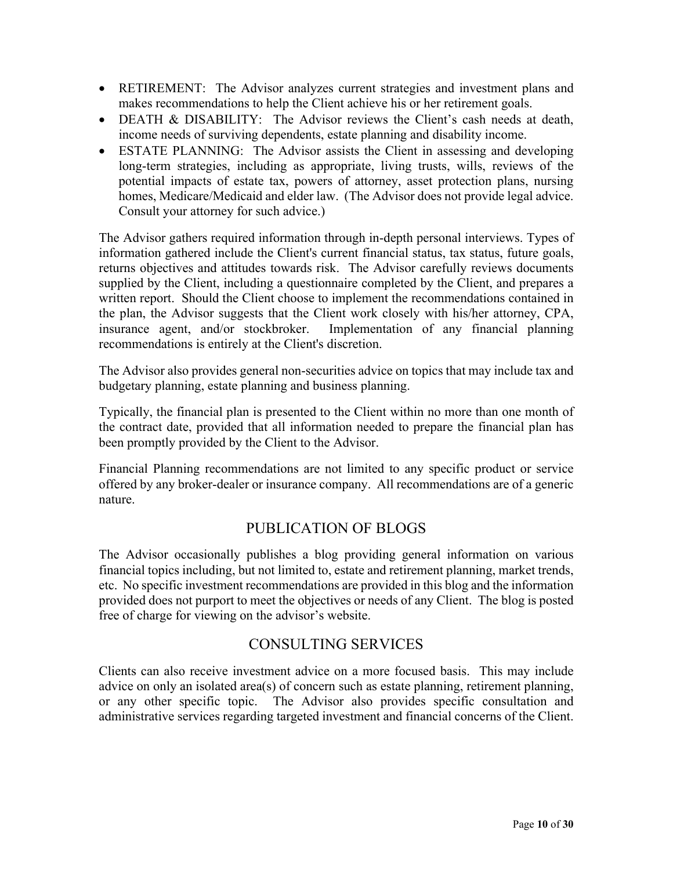- RETIREMENT: The Advisor analyzes current strategies and investment plans and makes recommendations to help the Client achieve his or her retirement goals.
- DEATH & DISABILITY: The Advisor reviews the Client's cash needs at death, income needs of surviving dependents, estate planning and disability income.
- ESTATE PLANNING: The Advisor assists the Client in assessing and developing long-term strategies, including as appropriate, living trusts, wills, reviews of the potential impacts of estate tax, powers of attorney, asset protection plans, nursing homes, Medicare/Medicaid and elder law. (The Advisor does not provide legal advice. Consult your attorney for such advice.)

The Advisor gathers required information through in-depth personal interviews. Types of information gathered include the Client's current financial status, tax status, future goals, returns objectives and attitudes towards risk. The Advisor carefully reviews documents supplied by the Client, including a questionnaire completed by the Client, and prepares a written report. Should the Client choose to implement the recommendations contained in the plan, the Advisor suggests that the Client work closely with his/her attorney, CPA, insurance agent, and/or stockbroker. Implementation of any financial planning recommendations is entirely at the Client's discretion.

The Advisor also provides general non-securities advice on topics that may include tax and budgetary planning, estate planning and business planning.

Typically, the financial plan is presented to the Client within no more than one month of the contract date, provided that all information needed to prepare the financial plan has been promptly provided by the Client to the Advisor.

Financial Planning recommendations are not limited to any specific product or service offered by any broker-dealer or insurance company. All recommendations are of a generic nature.

## PUBLICATION OF BLOGS

The Advisor occasionally publishes a blog providing general information on various financial topics including, but not limited to, estate and retirement planning, market trends, etc. No specific investment recommendations are provided in this blog and the information provided does not purport to meet the objectives or needs of any Client. The blog is posted free of charge for viewing on the advisor's website.

## CONSULTING SERVICES

Clients can also receive investment advice on a more focused basis. This may include advice on only an isolated area(s) of concern such as estate planning, retirement planning, or any other specific topic. The Advisor also provides specific consultation and administrative services regarding targeted investment and financial concerns of the Client.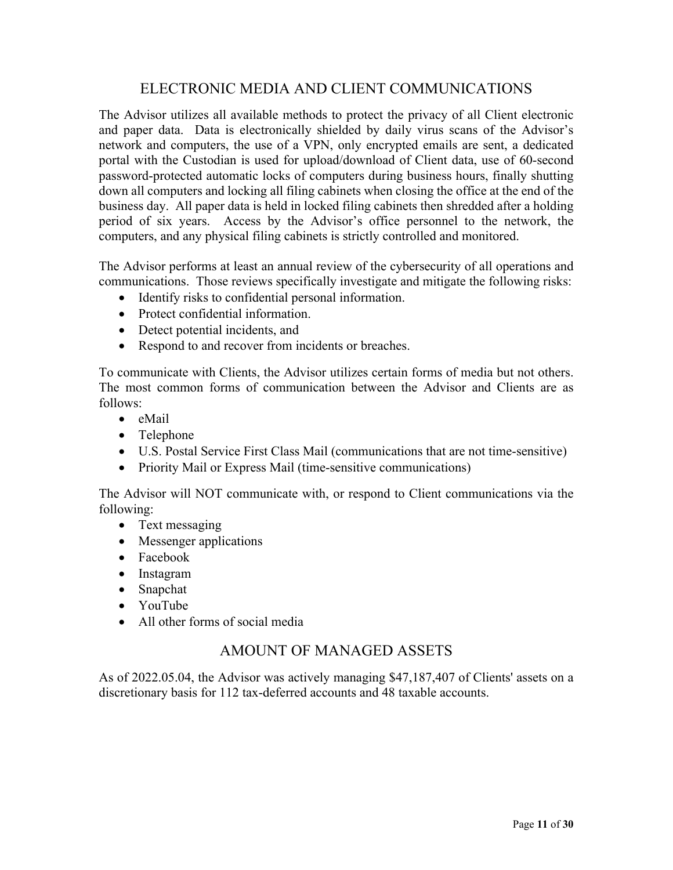## ELECTRONIC MEDIA AND CLIENT COMMUNICATIONS

The Advisor utilizes all available methods to protect the privacy of all Client electronic and paper data. Data is electronically shielded by daily virus scans of the Advisor's network and computers, the use of a VPN, only encrypted emails are sent, a dedicated portal with the Custodian is used for upload/download of Client data, use of 60-second password-protected automatic locks of computers during business hours, finally shutting down all computers and locking all filing cabinets when closing the office at the end of the business day. All paper data is held in locked filing cabinets then shredded after a holding period of six years. Access by the Advisor's office personnel to the network, the computers, and any physical filing cabinets is strictly controlled and monitored.

The Advisor performs at least an annual review of the cybersecurity of all operations and communications. Those reviews specifically investigate and mitigate the following risks:

- Identify risks to confidential personal information.
- Protect confidential information.
- Detect potential incidents, and
- Respond to and recover from incidents or breaches.

To communicate with Clients, the Advisor utilizes certain forms of media but not others. The most common forms of communication between the Advisor and Clients are as follows:

- $\bullet$  eMail
- Telephone
- U.S. Postal Service First Class Mail (communications that are not time-sensitive)
- Priority Mail or Express Mail (time-sensitive communications)

The Advisor will NOT communicate with, or respond to Client communications via the following:

- Text messaging
- Messenger applications
- Facebook
- Instagram
- Snapchat
- YouTube
- All other forms of social media

### AMOUNT OF MANAGED ASSETS

As of 2022.05.04, the Advisor was actively managing \$47,187,407 of Clients' assets on a discretionary basis for 112 tax-deferred accounts and 48 taxable accounts.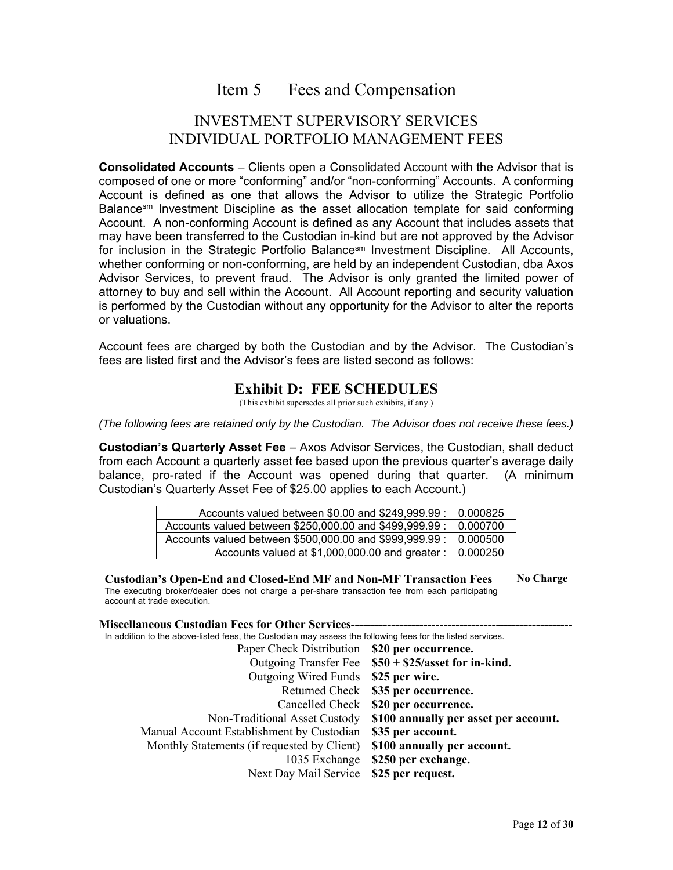## Item 5 Fees and Compensation

### INVESTMENT SUPERVISORY SERVICES INDIVIDUAL PORTFOLIO MANAGEMENT FEES

**Consolidated Accounts** *–* Clients open a Consolidated Account with the Advisor that is composed of one or more "conforming" and/or "non-conforming" Accounts. A conforming Account is defined as one that allows the Advisor to utilize the Strategic Portfolio Balance<sup>sm</sup> Investment Discipline as the asset allocation template for said conforming Account. A non-conforming Account is defined as any Account that includes assets that may have been transferred to the Custodian in-kind but are not approved by the Advisor for inclusion in the Strategic Portfolio Balance<sup>sm</sup> Investment Discipline. All Accounts, whether conforming or non-conforming, are held by an independent Custodian, dba Axos Advisor Services, to prevent fraud. The Advisor is only granted the limited power of attorney to buy and sell within the Account. All Account reporting and security valuation is performed by the Custodian without any opportunity for the Advisor to alter the reports or valuations.

Account fees are charged by both the Custodian and by the Advisor. The Custodian's fees are listed first and the Advisor's fees are listed second as follows:

### **Exhibit D: FEE SCHEDULES**

(This exhibit supersedes all prior such exhibits, if any.)

*(The following fees are retained only by the Custodian. The Advisor does not receive these fees.)* 

**Custodian's Quarterly Asset Fee** – Axos Advisor Services, the Custodian, shall deduct from each Account a quarterly asset fee based upon the previous quarter's average daily balance, pro-rated if the Account was opened during that quarter. (A minimum Custodian's Quarterly Asset Fee of \$25.00 applies to each Account.)

| Accounts valued between \$0.00 and \$249,999.99 :       | 0.000825 |
|---------------------------------------------------------|----------|
| Accounts valued between \$250,000.00 and \$499,999.99 : | 0.000700 |
| Accounts valued between \$500,000.00 and \$999,999.99 : | 0.000500 |
| Accounts valued at \$1,000,000.00 and greater :         | 0.000250 |

**Custodian's Open-End and Closed-End MF and Non-MF Transaction Fees**  The executing broker/dealer does not charge a per-share transaction fee from each participating account at trade execution. **No Charge** 

#### **Miscellaneous Custodian Fees for Other Services---**

In addition to the above-listed fees, the Custodian may assess the following fees for the listed services.

| Paper Check Distribution                    | \$20 per occurrence.                  |
|---------------------------------------------|---------------------------------------|
| <b>Outgoing Transfer Fee</b>                | $$50 + $25/a$ sset for in-kind.       |
| <b>Outgoing Wired Funds</b>                 | \$25 per wire.                        |
| <b>Returned Check</b>                       | \$35 per occurrence.                  |
| Cancelled Check                             | \$20 per occurrence.                  |
| Non-Traditional Asset Custody               | \$100 annually per asset per account. |
| Manual Account Establishment by Custodian   | \$35 per account.                     |
| Monthly Statements (if requested by Client) | \$100 annually per account.           |
| 1035 Exchange                               | \$250 per exchange.                   |
| Next Day Mail Service                       | \$25 per request.                     |
|                                             |                                       |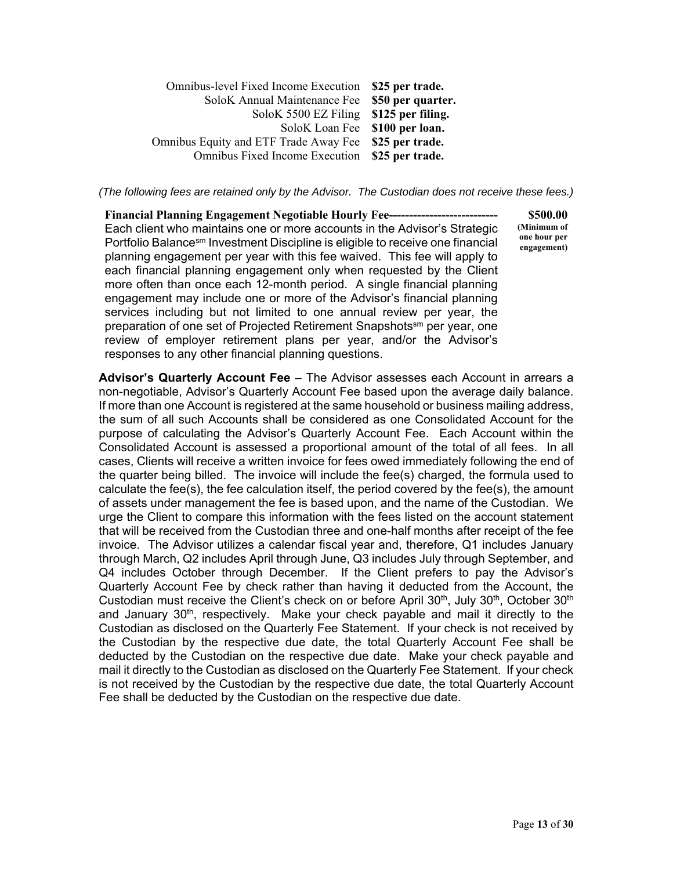| Omnibus-level Fixed Income Execution \$25 per trade.  |                   |
|-------------------------------------------------------|-------------------|
| SoloK Annual Maintenance Fee                          | \$50 per quarter. |
| SoloK 5500 EZ Filing                                  | \$125 per filing. |
| SoloK Loan Fee \$100 per loan.                        |                   |
| Omnibus Equity and ETF Trade Away Fee \$25 per trade. |                   |
| Omnibus Fixed Income Execution \$25 per trade.        |                   |

*(The following fees are retained only by the Advisor. The Custodian does not receive these fees.)* 

**Financial Planning Engagement Negotiable Hourly Fee----**Each client who maintains one or more accounts in the Advisor's Strategic Portfolio Balancesm Investment Discipline is eligible to receive one financial planning engagement per year with this fee waived. This fee will apply to each financial planning engagement only when requested by the Client more often than once each 12-month period. A single financial planning engagement may include one or more of the Advisor's financial planning services including but not limited to one annual review per year, the preparation of one set of Projected Retirement Snapshots<sup>sm</sup> per year, one review of employer retirement plans per year, and/or the Advisor's responses to any other financial planning questions.

**\$500.00 (Minimum of one hour per engagement)**

**Advisor's Quarterly Account Fee** *–* The Advisor assesses each Account in arrears a non-negotiable, Advisor's Quarterly Account Fee based upon the average daily balance. If more than one Account is registered at the same household or business mailing address, the sum of all such Accounts shall be considered as one Consolidated Account for the purpose of calculating the Advisor's Quarterly Account Fee. Each Account within the Consolidated Account is assessed a proportional amount of the total of all fees. In all cases, Clients will receive a written invoice for fees owed immediately following the end of the quarter being billed. The invoice will include the fee(s) charged, the formula used to calculate the fee(s), the fee calculation itself, the period covered by the fee(s), the amount of assets under management the fee is based upon, and the name of the Custodian. We urge the Client to compare this information with the fees listed on the account statement that will be received from the Custodian three and one-half months after receipt of the fee invoice. The Advisor utilizes a calendar fiscal year and, therefore, Q1 includes January through March, Q2 includes April through June, Q3 includes July through September, and Q4 includes October through December. If the Client prefers to pay the Advisor's Quarterly Account Fee by check rather than having it deducted from the Account, the Custodian must receive the Client's check on or before April  $30<sup>th</sup>$ , July  $30<sup>th</sup>$ , October  $30<sup>th</sup>$ and January 30<sup>th</sup>, respectively. Make your check payable and mail it directly to the Custodian as disclosed on the Quarterly Fee Statement. If your check is not received by the Custodian by the respective due date, the total Quarterly Account Fee shall be deducted by the Custodian on the respective due date. Make your check payable and mail it directly to the Custodian as disclosed on the Quarterly Fee Statement. If your check is not received by the Custodian by the respective due date, the total Quarterly Account Fee shall be deducted by the Custodian on the respective due date.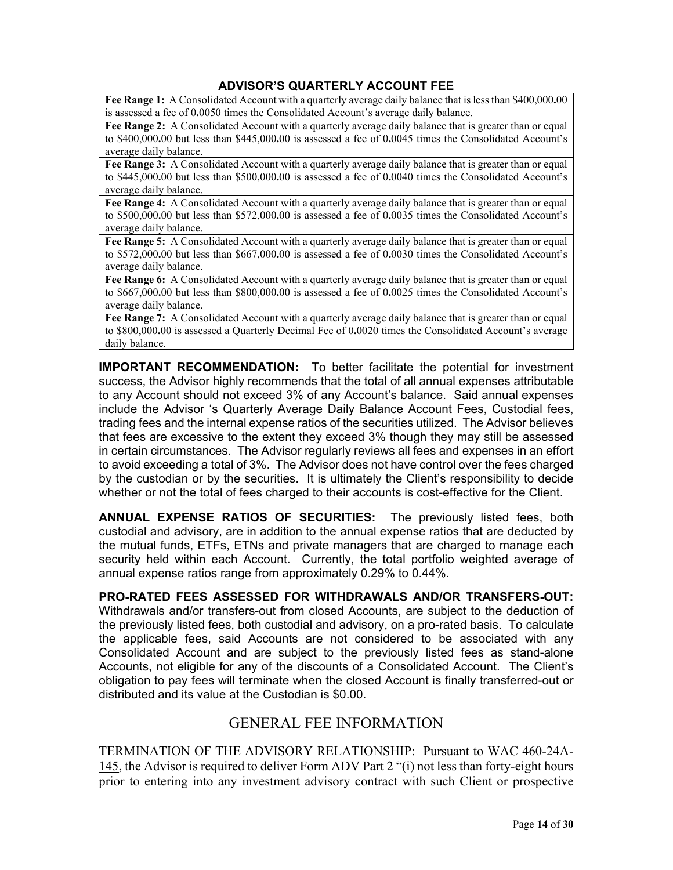### **ADVISOR'S QUARTERLY ACCOUNT FEE**

**Fee Range 1:** A Consolidated Account with a quarterly average daily balance that is less than \$400,000**.**00 is assessed a fee of 0**.**0050 times the Consolidated Account's average daily balance.

**Fee Range 2:** A Consolidated Account with a quarterly average daily balance that is greater than or equal to \$400,000**.**00 but less than \$445,000**.**00 is assessed a fee of 0**.**0045 times the Consolidated Account's average daily balance.

**Fee Range 3:** A Consolidated Account with a quarterly average daily balance that is greater than or equal to \$445,000**.**00 but less than \$500,000**.**00 is assessed a fee of 0**.**0040 times the Consolidated Account's average daily balance.

**Fee Range 4:** A Consolidated Account with a quarterly average daily balance that is greater than or equal to \$500,000**.**00 but less than \$572,000**.**00 is assessed a fee of 0**.**0035 times the Consolidated Account's average daily balance.

**Fee Range 5:** A Consolidated Account with a quarterly average daily balance that is greater than or equal to \$572,000**.**00 but less than \$667,000**.**00 is assessed a fee of 0**.**0030 times the Consolidated Account's average daily balance.

**Fee Range 6:** A Consolidated Account with a quarterly average daily balance that is greater than or equal to \$667,000**.**00 but less than \$800,000**.**00 is assessed a fee of 0**.**0025 times the Consolidated Account's average daily balance.

Fee Range 7: A Consolidated Account with a quarterly average daily balance that is greater than or equal to \$800,000**.**00 is assessed a Quarterly Decimal Fee of 0**.**0020 times the Consolidated Account's average daily balance.

**IMPORTANT RECOMMENDATION:** To better facilitate the potential for investment success, the Advisor highly recommends that the total of all annual expenses attributable to any Account should not exceed 3% of any Account's balance. Said annual expenses include the Advisor 's Quarterly Average Daily Balance Account Fees, Custodial fees, trading fees and the internal expense ratios of the securities utilized. The Advisor believes that fees are excessive to the extent they exceed 3% though they may still be assessed in certain circumstances. The Advisor regularly reviews all fees and expenses in an effort to avoid exceeding a total of 3%. The Advisor does not have control over the fees charged by the custodian or by the securities. It is ultimately the Client's responsibility to decide whether or not the total of fees charged to their accounts is cost-effective for the Client.

**ANNUAL EXPENSE RATIOS OF SECURITIES:** The previously listed fees, both custodial and advisory, are in addition to the annual expense ratios that are deducted by the mutual funds, ETFs, ETNs and private managers that are charged to manage each security held within each Account. Currently, the total portfolio weighted average of annual expense ratios range from approximately 0.29% to 0.44%.

**PRO-RATED FEES ASSESSED FOR WITHDRAWALS AND/OR TRANSFERS-OUT:**  Withdrawals and/or transfers-out from closed Accounts, are subject to the deduction of the previously listed fees, both custodial and advisory, on a pro-rated basis. To calculate the applicable fees, said Accounts are not considered to be associated with any Consolidated Account and are subject to the previously listed fees as stand-alone Accounts, not eligible for any of the discounts of a Consolidated Account. The Client's obligation to pay fees will terminate when the closed Account is finally transferred-out or distributed and its value at the Custodian is \$0.00.

### GENERAL FEE INFORMATION

TERMINATION OF THE ADVISORY RELATIONSHIP: Pursuant to WAC 460-24A-145, the Advisor is required to deliver Form ADV Part 2 "(i) not less than forty-eight hours prior to entering into any investment advisory contract with such Client or prospective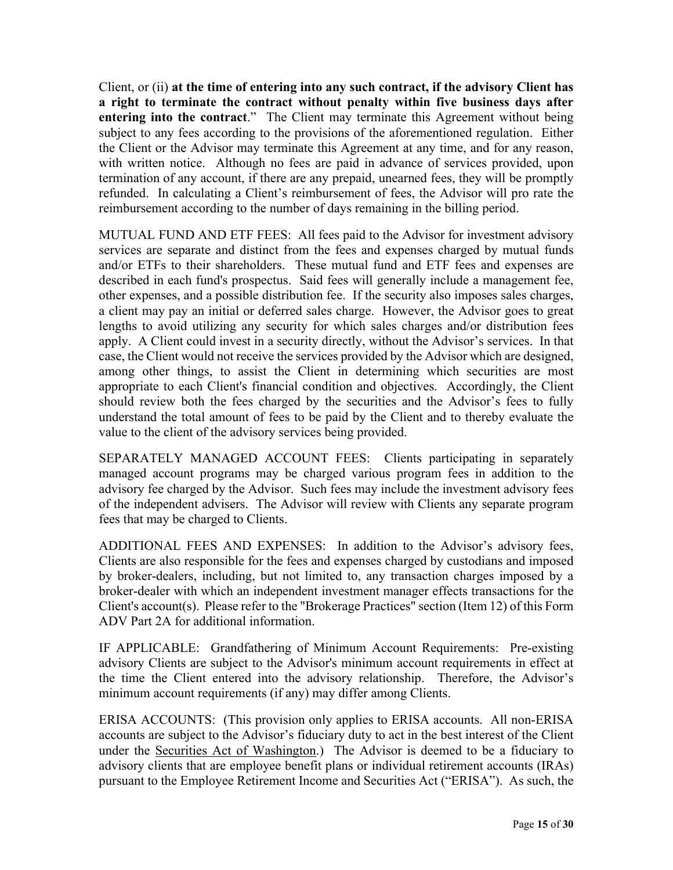Client, or (ii) **at the time of entering into any such contract, if the advisory Client has a right to terminate the contract without penalty within five business days after entering into the contract**." The Client may terminate this Agreement without being subject to any fees according to the provisions of the aforementioned regulation. Either the Client or the Advisor may terminate this Agreement at any time, and for any reason, with written notice. Although no fees are paid in advance of services provided, upon termination of any account, if there are any prepaid, unearned fees, they will be promptly refunded. In calculating a Client's reimbursement of fees, the Advisor will pro rate the reimbursement according to the number of days remaining in the billing period.

MUTUAL FUND AND ETF FEES: All fees paid to the Advisor for investment advisory services are separate and distinct from the fees and expenses charged by mutual funds and/or ETFs to their shareholders. These mutual fund and ETF fees and expenses are described in each fund's prospectus. Said fees will generally include a management fee, other expenses, and a possible distribution fee. If the security also imposes sales charges, a client may pay an initial or deferred sales charge. However, the Advisor goes to great lengths to avoid utilizing any security for which sales charges and/or distribution fees apply. A Client could invest in a security directly, without the Advisor's services. In that case, the Client would not receive the services provided by the Advisor which are designed, among other things, to assist the Client in determining which securities are most appropriate to each Client's financial condition and objectives. Accordingly, the Client should review both the fees charged by the securities and the Advisor's fees to fully understand the total amount of fees to be paid by the Client and to thereby evaluate the value to the client of the advisory services being provided.

SEPARATELY MANAGED ACCOUNT FEES: Clients participating in separately managed account programs may be charged various program fees in addition to the advisory fee charged by the Advisor. Such fees may include the investment advisory fees of the independent advisers. The Advisor will review with Clients any separate program fees that may be charged to Clients.

ADDITIONAL FEES AND EXPENSES: In addition to the Advisor's advisory fees, Clients are also responsible for the fees and expenses charged by custodians and imposed by broker-dealers, including, but not limited to, any transaction charges imposed by a broker-dealer with which an independent investment manager effects transactions for the Client's account(s). Please refer to the "Brokerage Practices" section (Item 12) of this Form ADV Part 2A for additional information.

IF APPLICABLE: Grandfathering of Minimum Account Requirements: Pre-existing advisory Clients are subject to the Advisor's minimum account requirements in effect at the time the Client entered into the advisory relationship. Therefore, the Advisor's minimum account requirements (if any) may differ among Clients.

ERISA ACCOUNTS: (This provision only applies to ERISA accounts. All non-ERISA accounts are subject to the Advisor's fiduciary duty to act in the best interest of the Client under the Securities Act of Washington.) The Advisor is deemed to be a fiduciary to advisory clients that are employee benefit plans or individual retirement accounts (IRAs) pursuant to the Employee Retirement Income and Securities Act ("ERISA"). As such, the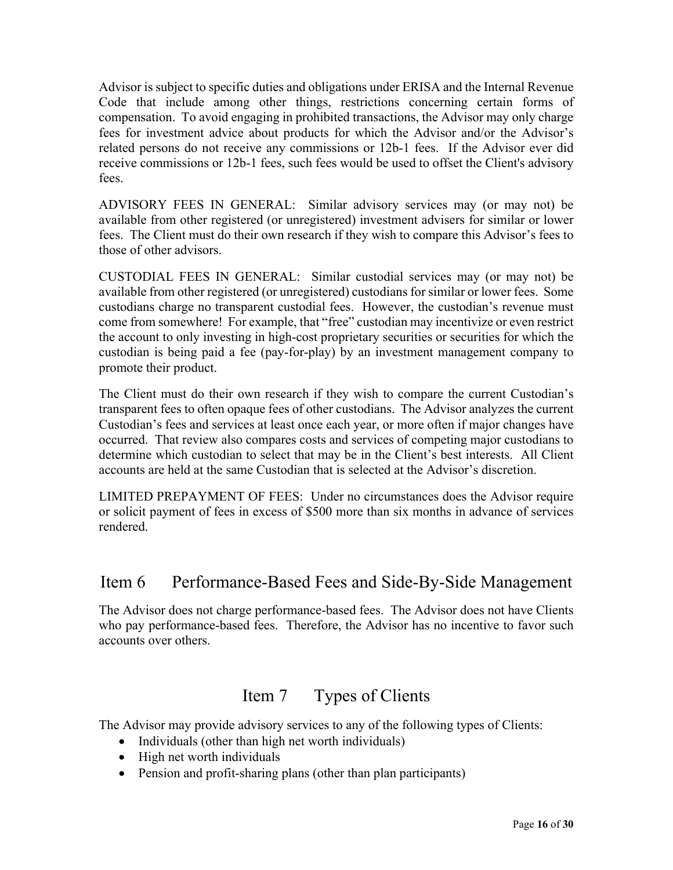Advisor is subject to specific duties and obligations under ERISA and the Internal Revenue Code that include among other things, restrictions concerning certain forms of compensation. To avoid engaging in prohibited transactions, the Advisor may only charge fees for investment advice about products for which the Advisor and/or the Advisor's related persons do not receive any commissions or 12b-1 fees. If the Advisor ever did receive commissions or 12b-1 fees, such fees would be used to offset the Client's advisory fees.

ADVISORY FEES IN GENERAL: Similar advisory services may (or may not) be available from other registered (or unregistered) investment advisers for similar or lower fees. The Client must do their own research if they wish to compare this Advisor's fees to those of other advisors.

CUSTODIAL FEES IN GENERAL: Similar custodial services may (or may not) be available from other registered (or unregistered) custodians for similar or lower fees. Some custodians charge no transparent custodial fees. However, the custodian's revenue must come from somewhere! For example, that "free" custodian may incentivize or even restrict the account to only investing in high-cost proprietary securities or securities for which the custodian is being paid a fee (pay-for-play) by an investment management company to promote their product.

The Client must do their own research if they wish to compare the current Custodian's transparent fees to often opaque fees of other custodians. The Advisor analyzes the current Custodian's fees and services at least once each year, or more often if major changes have occurred. That review also compares costs and services of competing major custodians to determine which custodian to select that may be in the Client's best interests. All Client accounts are held at the same Custodian that is selected at the Advisor's discretion.

LIMITED PREPAYMENT OF FEES: Under no circumstances does the Advisor require or solicit payment of fees in excess of \$500 more than six months in advance of services rendered.

## Item 6 Performance-Based Fees and Side-By-Side Management

The Advisor does not charge performance-based fees. The Advisor does not have Clients who pay performance-based fees. Therefore, the Advisor has no incentive to favor such accounts over others.

## Item 7 Types of Clients

The Advisor may provide advisory services to any of the following types of Clients:

- Individuals (other than high net worth individuals)
- High net worth individuals
- Pension and profit-sharing plans (other than plan participants)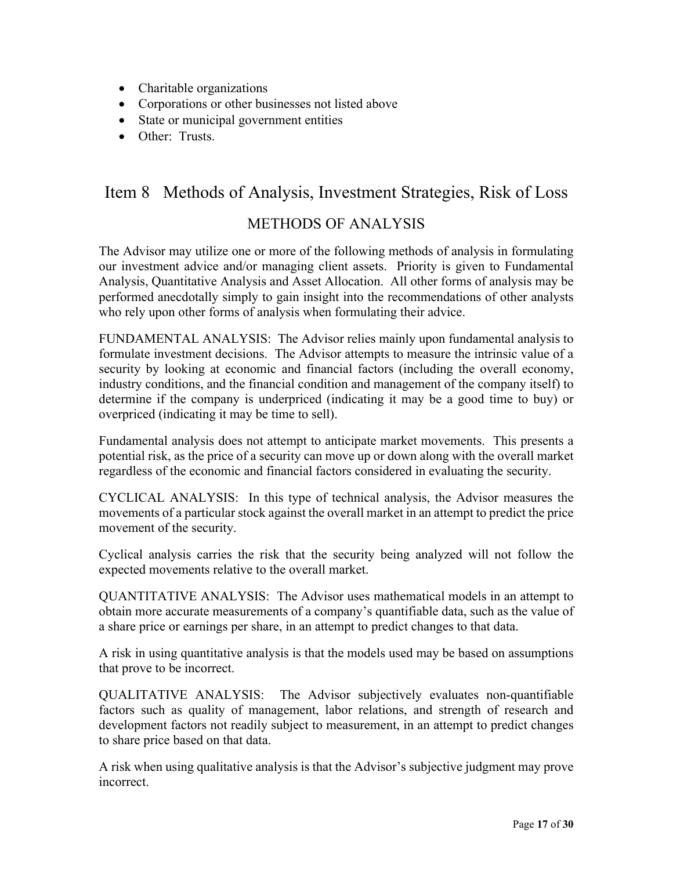- Charitable organizations
- Corporations or other businesses not listed above
- State or municipal government entities
- Other: Trusts.

# Item 8 Methods of Analysis, Investment Strategies, Risk of Loss

## METHODS OF ANALYSIS

The Advisor may utilize one or more of the following methods of analysis in formulating our investment advice and/or managing client assets. Priority is given to Fundamental Analysis, Quantitative Analysis and Asset Allocation. All other forms of analysis may be performed anecdotally simply to gain insight into the recommendations of other analysts who rely upon other forms of analysis when formulating their advice.

FUNDAMENTAL ANALYSIS: The Advisor relies mainly upon fundamental analysis to formulate investment decisions. The Advisor attempts to measure the intrinsic value of a security by looking at economic and financial factors (including the overall economy, industry conditions, and the financial condition and management of the company itself) to determine if the company is underpriced (indicating it may be a good time to buy) or overpriced (indicating it may be time to sell).

Fundamental analysis does not attempt to anticipate market movements. This presents a potential risk, as the price of a security can move up or down along with the overall market regardless of the economic and financial factors considered in evaluating the security.

CYCLICAL ANALYSIS: In this type of technical analysis, the Advisor measures the movements of a particular stock against the overall market in an attempt to predict the price movement of the security.

Cyclical analysis carries the risk that the security being analyzed will not follow the expected movements relative to the overall market.

QUANTITATIVE ANALYSIS: The Advisor uses mathematical models in an attempt to obtain more accurate measurements of a company's quantifiable data, such as the value of a share price or earnings per share, in an attempt to predict changes to that data.

A risk in using quantitative analysis is that the models used may be based on assumptions that prove to be incorrect.

QUALITATIVE ANALYSIS: The Advisor subjectively evaluates non-quantifiable factors such as quality of management, labor relations, and strength of research and development factors not readily subject to measurement, in an attempt to predict changes to share price based on that data.

A risk when using qualitative analysis is that the Advisor's subjective judgment may prove incorrect.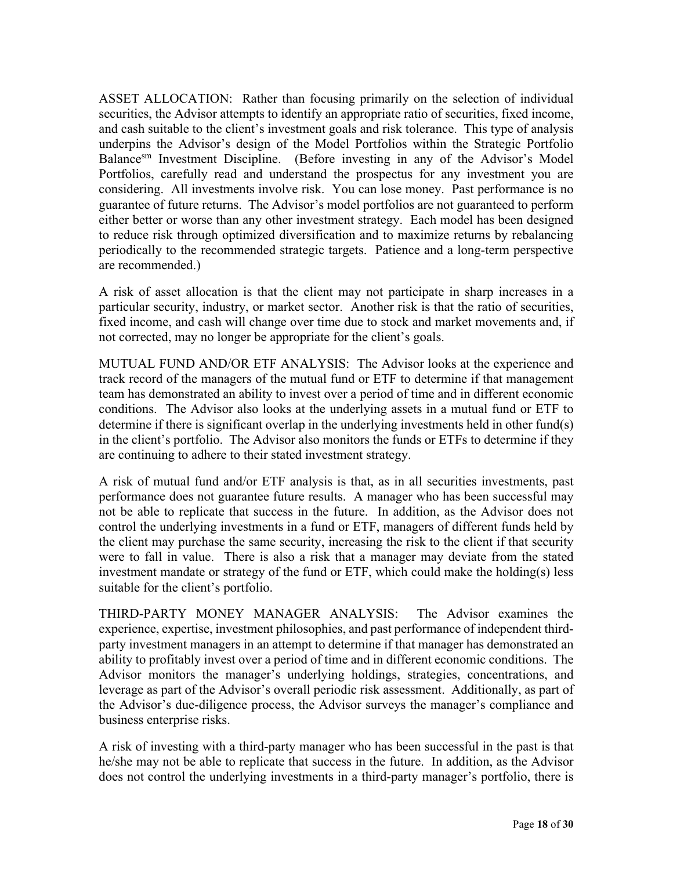ASSET ALLOCATION: Rather than focusing primarily on the selection of individual securities, the Advisor attempts to identify an appropriate ratio of securities, fixed income, and cash suitable to the client's investment goals and risk tolerance. This type of analysis underpins the Advisor's design of the Model Portfolios within the Strategic Portfolio Balance<sup>sm</sup> Investment Discipline. (Before investing in any of the Advisor's Model Portfolios, carefully read and understand the prospectus for any investment you are considering. All investments involve risk. You can lose money. Past performance is no guarantee of future returns. The Advisor's model portfolios are not guaranteed to perform either better or worse than any other investment strategy. Each model has been designed to reduce risk through optimized diversification and to maximize returns by rebalancing periodically to the recommended strategic targets. Patience and a long-term perspective are recommended.)

A risk of asset allocation is that the client may not participate in sharp increases in a particular security, industry, or market sector. Another risk is that the ratio of securities, fixed income, and cash will change over time due to stock and market movements and, if not corrected, may no longer be appropriate for the client's goals.

MUTUAL FUND AND/OR ETF ANALYSIS: The Advisor looks at the experience and track record of the managers of the mutual fund or ETF to determine if that management team has demonstrated an ability to invest over a period of time and in different economic conditions. The Advisor also looks at the underlying assets in a mutual fund or ETF to determine if there is significant overlap in the underlying investments held in other fund(s) in the client's portfolio. The Advisor also monitors the funds or ETFs to determine if they are continuing to adhere to their stated investment strategy.

A risk of mutual fund and/or ETF analysis is that, as in all securities investments, past performance does not guarantee future results. A manager who has been successful may not be able to replicate that success in the future. In addition, as the Advisor does not control the underlying investments in a fund or ETF, managers of different funds held by the client may purchase the same security, increasing the risk to the client if that security were to fall in value. There is also a risk that a manager may deviate from the stated investment mandate or strategy of the fund or ETF, which could make the holding(s) less suitable for the client's portfolio.

THIRD-PARTY MONEY MANAGER ANALYSIS: The Advisor examines the experience, expertise, investment philosophies, and past performance of independent thirdparty investment managers in an attempt to determine if that manager has demonstrated an ability to profitably invest over a period of time and in different economic conditions. The Advisor monitors the manager's underlying holdings, strategies, concentrations, and leverage as part of the Advisor's overall periodic risk assessment. Additionally, as part of the Advisor's due-diligence process, the Advisor surveys the manager's compliance and business enterprise risks.

A risk of investing with a third-party manager who has been successful in the past is that he/she may not be able to replicate that success in the future. In addition, as the Advisor does not control the underlying investments in a third-party manager's portfolio, there is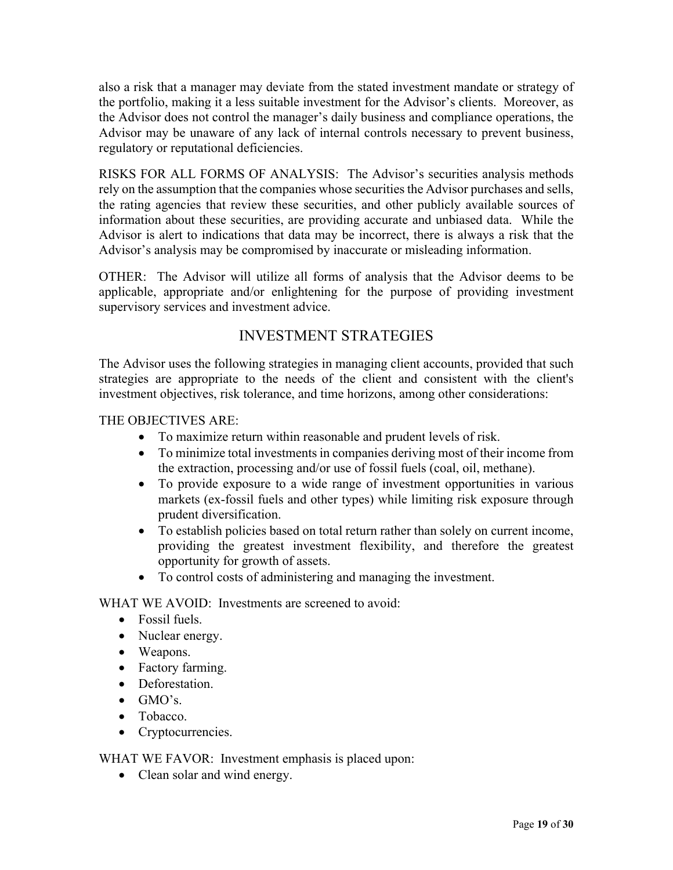also a risk that a manager may deviate from the stated investment mandate or strategy of the portfolio, making it a less suitable investment for the Advisor's clients. Moreover, as the Advisor does not control the manager's daily business and compliance operations, the Advisor may be unaware of any lack of internal controls necessary to prevent business, regulatory or reputational deficiencies.

RISKS FOR ALL FORMS OF ANALYSIS: The Advisor's securities analysis methods rely on the assumption that the companies whose securities the Advisor purchases and sells, the rating agencies that review these securities, and other publicly available sources of information about these securities, are providing accurate and unbiased data. While the Advisor is alert to indications that data may be incorrect, there is always a risk that the Advisor's analysis may be compromised by inaccurate or misleading information.

OTHER: The Advisor will utilize all forms of analysis that the Advisor deems to be applicable, appropriate and/or enlightening for the purpose of providing investment supervisory services and investment advice.

## INVESTMENT STRATEGIES

The Advisor uses the following strategies in managing client accounts, provided that such strategies are appropriate to the needs of the client and consistent with the client's investment objectives, risk tolerance, and time horizons, among other considerations:

THE OBJECTIVES ARE:

- To maximize return within reasonable and prudent levels of risk.
- To minimize total investments in companies deriving most of their income from the extraction, processing and/or use of fossil fuels (coal, oil, methane).
- To provide exposure to a wide range of investment opportunities in various markets (ex-fossil fuels and other types) while limiting risk exposure through prudent diversification.
- To establish policies based on total return rather than solely on current income, providing the greatest investment flexibility, and therefore the greatest opportunity for growth of assets.
- To control costs of administering and managing the investment.

WHAT WE AVOID: Investments are screened to avoid:

- Fossil fuels.
- Nuclear energy.
- Weapons.
- Factory farming.
- Deforestation.
- $\bullet$  GMO's.
- Tobacco.
- Cryptocurrencies.

WHAT WE FAVOR: Investment emphasis is placed upon:

• Clean solar and wind energy.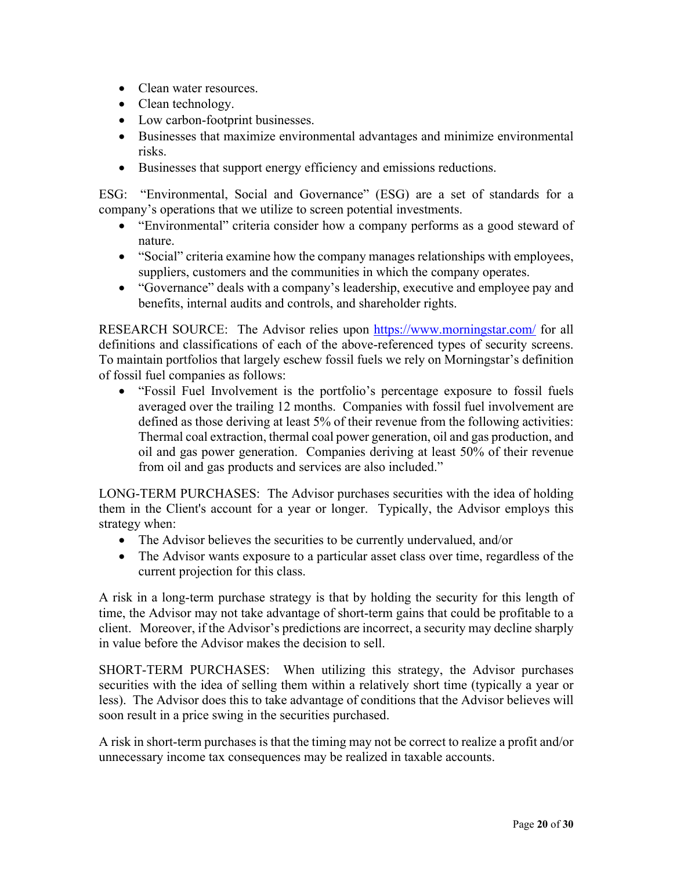- Clean water resources.
- Clean technology.
- Low carbon-footprint businesses.
- Businesses that maximize environmental advantages and minimize environmental risks.
- Businesses that support energy efficiency and emissions reductions.

ESG: "Environmental, Social and Governance" (ESG) are a set of standards for a company's operations that we utilize to screen potential investments.

- "Environmental" criteria consider how a company performs as a good steward of nature.
- "Social" criteria examine how the company manages relationships with employees, suppliers, customers and the communities in which the company operates.
- "Governance" deals with a company's leadership, executive and employee pay and benefits, internal audits and controls, and shareholder rights.

RESEARCH SOURCE: The Advisor relies upon https://www.morningstar.com/ for all definitions and classifications of each of the above-referenced types of security screens. To maintain portfolios that largely eschew fossil fuels we rely on Morningstar's definition of fossil fuel companies as follows:

 "Fossil Fuel Involvement is the portfolio's percentage exposure to fossil fuels averaged over the trailing 12 months. Companies with fossil fuel involvement are defined as those deriving at least 5% of their revenue from the following activities: Thermal coal extraction, thermal coal power generation, oil and gas production, and oil and gas power generation. Companies deriving at least 50% of their revenue from oil and gas products and services are also included."

LONG-TERM PURCHASES: The Advisor purchases securities with the idea of holding them in the Client's account for a year or longer. Typically, the Advisor employs this strategy when:

- The Advisor believes the securities to be currently undervalued, and/or
- The Advisor wants exposure to a particular asset class over time, regardless of the current projection for this class.

A risk in a long-term purchase strategy is that by holding the security for this length of time, the Advisor may not take advantage of short-term gains that could be profitable to a client. Moreover, if the Advisor's predictions are incorrect, a security may decline sharply in value before the Advisor makes the decision to sell.

SHORT-TERM PURCHASES: When utilizing this strategy, the Advisor purchases securities with the idea of selling them within a relatively short time (typically a year or less). The Advisor does this to take advantage of conditions that the Advisor believes will soon result in a price swing in the securities purchased.

A risk in short-term purchases is that the timing may not be correct to realize a profit and/or unnecessary income tax consequences may be realized in taxable accounts.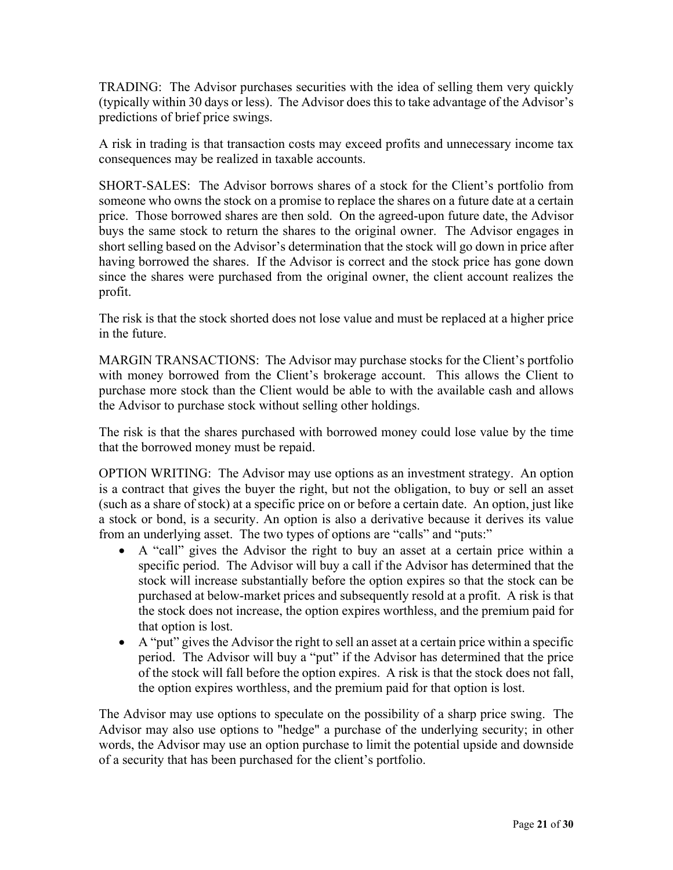TRADING: The Advisor purchases securities with the idea of selling them very quickly (typically within 30 days or less). The Advisor does this to take advantage of the Advisor's predictions of brief price swings.

A risk in trading is that transaction costs may exceed profits and unnecessary income tax consequences may be realized in taxable accounts.

SHORT-SALES: The Advisor borrows shares of a stock for the Client's portfolio from someone who owns the stock on a promise to replace the shares on a future date at a certain price. Those borrowed shares are then sold. On the agreed-upon future date, the Advisor buys the same stock to return the shares to the original owner. The Advisor engages in short selling based on the Advisor's determination that the stock will go down in price after having borrowed the shares. If the Advisor is correct and the stock price has gone down since the shares were purchased from the original owner, the client account realizes the profit.

The risk is that the stock shorted does not lose value and must be replaced at a higher price in the future.

MARGIN TRANSACTIONS: The Advisor may purchase stocks for the Client's portfolio with money borrowed from the Client's brokerage account. This allows the Client to purchase more stock than the Client would be able to with the available cash and allows the Advisor to purchase stock without selling other holdings.

The risk is that the shares purchased with borrowed money could lose value by the time that the borrowed money must be repaid.

OPTION WRITING: The Advisor may use options as an investment strategy. An option is a contract that gives the buyer the right, but not the obligation, to buy or sell an asset (such as a share of stock) at a specific price on or before a certain date. An option, just like a stock or bond, is a security. An option is also a derivative because it derives its value from an underlying asset. The two types of options are "calls" and "puts:"

- A "call" gives the Advisor the right to buy an asset at a certain price within a specific period. The Advisor will buy a call if the Advisor has determined that the stock will increase substantially before the option expires so that the stock can be purchased at below-market prices and subsequently resold at a profit. A risk is that the stock does not increase, the option expires worthless, and the premium paid for that option is lost.
- $\bullet$  A "put" gives the Advisor the right to sell an asset at a certain price within a specific period. The Advisor will buy a "put" if the Advisor has determined that the price of the stock will fall before the option expires. A risk is that the stock does not fall, the option expires worthless, and the premium paid for that option is lost.

The Advisor may use options to speculate on the possibility of a sharp price swing. The Advisor may also use options to "hedge" a purchase of the underlying security; in other words, the Advisor may use an option purchase to limit the potential upside and downside of a security that has been purchased for the client's portfolio.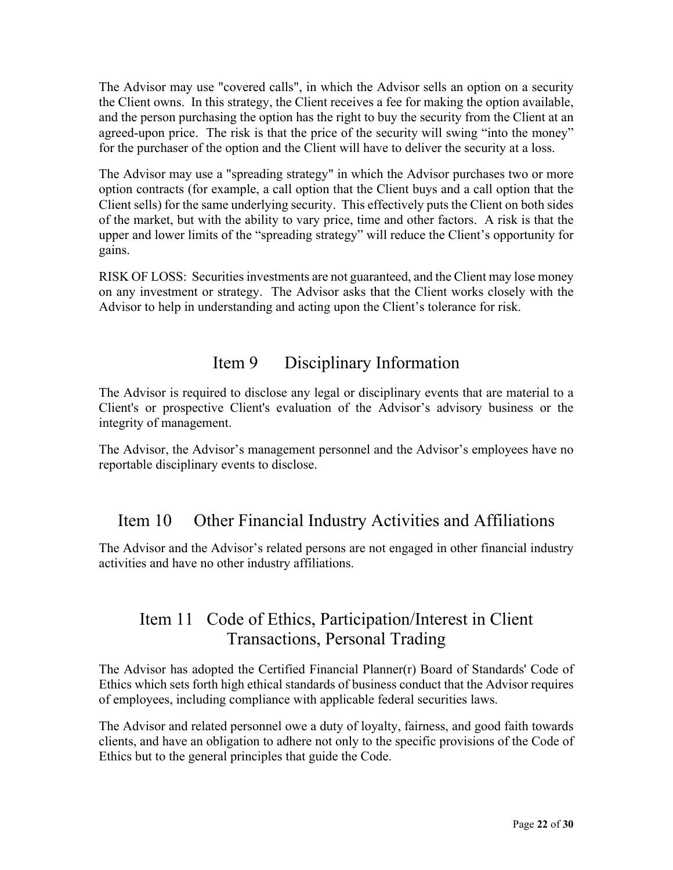The Advisor may use "covered calls", in which the Advisor sells an option on a security the Client owns. In this strategy, the Client receives a fee for making the option available, and the person purchasing the option has the right to buy the security from the Client at an agreed-upon price. The risk is that the price of the security will swing "into the money" for the purchaser of the option and the Client will have to deliver the security at a loss.

The Advisor may use a "spreading strategy" in which the Advisor purchases two or more option contracts (for example, a call option that the Client buys and a call option that the Client sells) for the same underlying security. This effectively puts the Client on both sides of the market, but with the ability to vary price, time and other factors. A risk is that the upper and lower limits of the "spreading strategy" will reduce the Client's opportunity for gains.

RISK OF LOSS: Securities investments are not guaranteed, and the Client may lose money on any investment or strategy. The Advisor asks that the Client works closely with the Advisor to help in understanding and acting upon the Client's tolerance for risk.

# Item 9 Disciplinary Information

The Advisor is required to disclose any legal or disciplinary events that are material to a Client's or prospective Client's evaluation of the Advisor's advisory business or the integrity of management.

The Advisor, the Advisor's management personnel and the Advisor's employees have no reportable disciplinary events to disclose.

## Item 10 Other Financial Industry Activities and Affiliations

The Advisor and the Advisor's related persons are not engaged in other financial industry activities and have no other industry affiliations.

# Item 11 Code of Ethics, Participation/Interest in Client Transactions, Personal Trading

The Advisor has adopted the Certified Financial Planner(r) Board of Standards' Code of Ethics which sets forth high ethical standards of business conduct that the Advisor requires of employees, including compliance with applicable federal securities laws.

The Advisor and related personnel owe a duty of loyalty, fairness, and good faith towards clients, and have an obligation to adhere not only to the specific provisions of the Code of Ethics but to the general principles that guide the Code.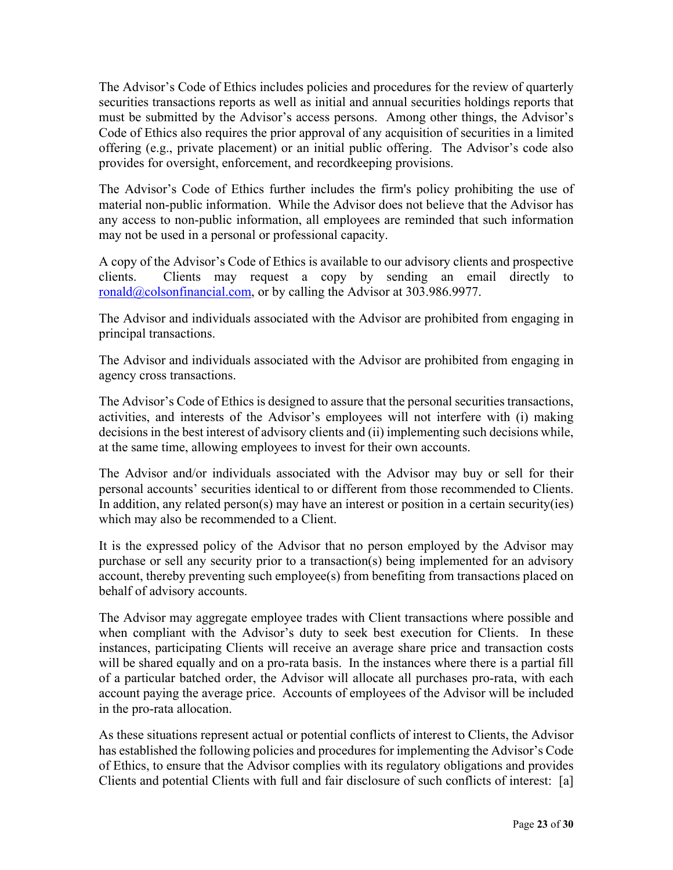The Advisor's Code of Ethics includes policies and procedures for the review of quarterly securities transactions reports as well as initial and annual securities holdings reports that must be submitted by the Advisor's access persons. Among other things, the Advisor's Code of Ethics also requires the prior approval of any acquisition of securities in a limited offering (e.g., private placement) or an initial public offering. The Advisor's code also provides for oversight, enforcement, and recordkeeping provisions.

The Advisor's Code of Ethics further includes the firm's policy prohibiting the use of material non-public information. While the Advisor does not believe that the Advisor has any access to non-public information, all employees are reminded that such information may not be used in a personal or professional capacity.

A copy of the Advisor's Code of Ethics is available to our advisory clients and prospective clients. Clients may request a copy by sending an email directly to ronald@colsonfinancial.com, or by calling the Advisor at 303.986.9977.

The Advisor and individuals associated with the Advisor are prohibited from engaging in principal transactions.

The Advisor and individuals associated with the Advisor are prohibited from engaging in agency cross transactions.

The Advisor's Code of Ethics is designed to assure that the personal securities transactions, activities, and interests of the Advisor's employees will not interfere with (i) making decisions in the best interest of advisory clients and (ii) implementing such decisions while, at the same time, allowing employees to invest for their own accounts.

The Advisor and/or individuals associated with the Advisor may buy or sell for their personal accounts' securities identical to or different from those recommended to Clients. In addition, any related person(s) may have an interest or position in a certain security(ies) which may also be recommended to a Client.

It is the expressed policy of the Advisor that no person employed by the Advisor may purchase or sell any security prior to a transaction(s) being implemented for an advisory account, thereby preventing such employee(s) from benefiting from transactions placed on behalf of advisory accounts.

The Advisor may aggregate employee trades with Client transactions where possible and when compliant with the Advisor's duty to seek best execution for Clients. In these instances, participating Clients will receive an average share price and transaction costs will be shared equally and on a pro-rata basis. In the instances where there is a partial fill of a particular batched order, the Advisor will allocate all purchases pro-rata, with each account paying the average price. Accounts of employees of the Advisor will be included in the pro-rata allocation.

As these situations represent actual or potential conflicts of interest to Clients, the Advisor has established the following policies and procedures for implementing the Advisor's Code of Ethics, to ensure that the Advisor complies with its regulatory obligations and provides Clients and potential Clients with full and fair disclosure of such conflicts of interest: [a]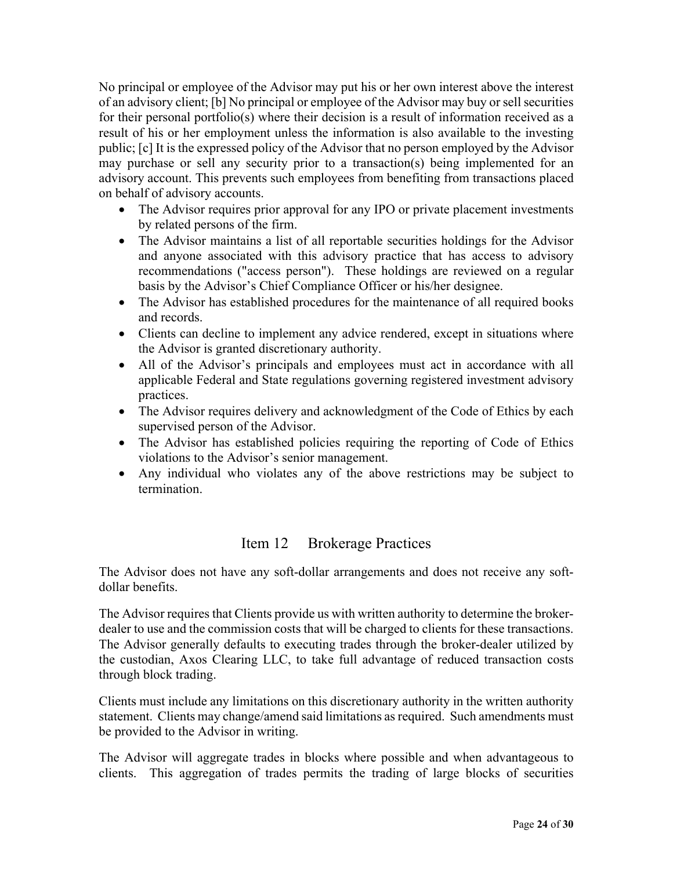No principal or employee of the Advisor may put his or her own interest above the interest of an advisory client; [b] No principal or employee of the Advisor may buy or sell securities for their personal portfolio(s) where their decision is a result of information received as a result of his or her employment unless the information is also available to the investing public; [c] It is the expressed policy of the Advisor that no person employed by the Advisor may purchase or sell any security prior to a transaction(s) being implemented for an advisory account. This prevents such employees from benefiting from transactions placed on behalf of advisory accounts.

- The Advisor requires prior approval for any IPO or private placement investments by related persons of the firm.
- The Advisor maintains a list of all reportable securities holdings for the Advisor and anyone associated with this advisory practice that has access to advisory recommendations ("access person"). These holdings are reviewed on a regular basis by the Advisor's Chief Compliance Officer or his/her designee.
- The Advisor has established procedures for the maintenance of all required books and records.
- Clients can decline to implement any advice rendered, except in situations where the Advisor is granted discretionary authority.
- All of the Advisor's principals and employees must act in accordance with all applicable Federal and State regulations governing registered investment advisory practices.
- The Advisor requires delivery and acknowledgment of the Code of Ethics by each supervised person of the Advisor.
- The Advisor has established policies requiring the reporting of Code of Ethics violations to the Advisor's senior management.
- Any individual who violates any of the above restrictions may be subject to termination.

## Item 12 Brokerage Practices

The Advisor does not have any soft-dollar arrangements and does not receive any softdollar benefits.

The Advisor requires that Clients provide us with written authority to determine the brokerdealer to use and the commission costs that will be charged to clients for these transactions. The Advisor generally defaults to executing trades through the broker-dealer utilized by the custodian, Axos Clearing LLC, to take full advantage of reduced transaction costs through block trading.

Clients must include any limitations on this discretionary authority in the written authority statement. Clients may change/amend said limitations as required. Such amendments must be provided to the Advisor in writing.

The Advisor will aggregate trades in blocks where possible and when advantageous to clients. This aggregation of trades permits the trading of large blocks of securities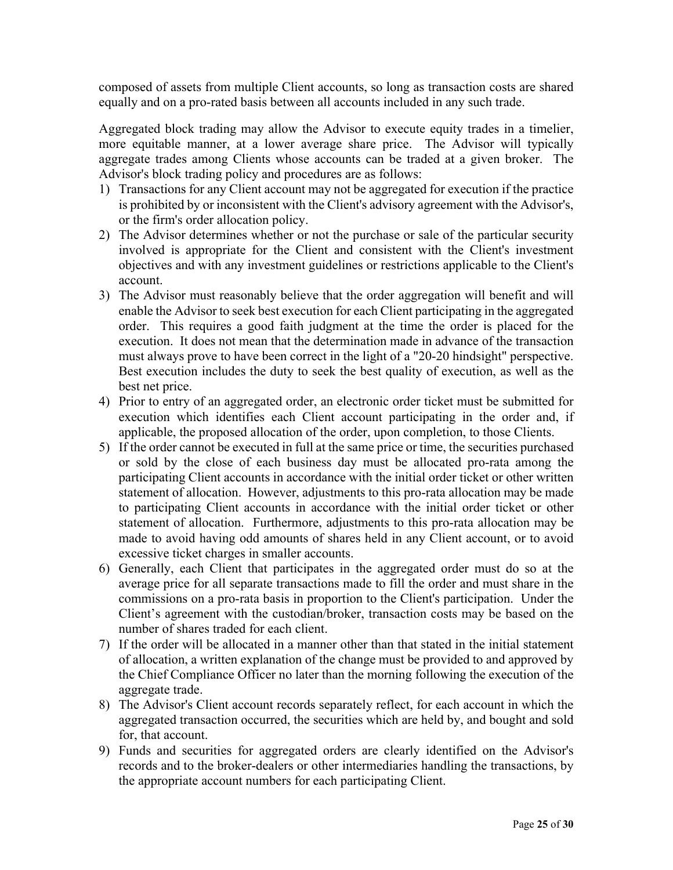composed of assets from multiple Client accounts, so long as transaction costs are shared equally and on a pro-rated basis between all accounts included in any such trade.

Aggregated block trading may allow the Advisor to execute equity trades in a timelier, more equitable manner, at a lower average share price. The Advisor will typically aggregate trades among Clients whose accounts can be traded at a given broker. The Advisor's block trading policy and procedures are as follows:

- 1) Transactions for any Client account may not be aggregated for execution if the practice is prohibited by or inconsistent with the Client's advisory agreement with the Advisor's, or the firm's order allocation policy.
- 2) The Advisor determines whether or not the purchase or sale of the particular security involved is appropriate for the Client and consistent with the Client's investment objectives and with any investment guidelines or restrictions applicable to the Client's account.
- 3) The Advisor must reasonably believe that the order aggregation will benefit and will enable the Advisor to seek best execution for each Client participating in the aggregated order. This requires a good faith judgment at the time the order is placed for the execution. It does not mean that the determination made in advance of the transaction must always prove to have been correct in the light of a "20-20 hindsight" perspective. Best execution includes the duty to seek the best quality of execution, as well as the best net price.
- 4) Prior to entry of an aggregated order, an electronic order ticket must be submitted for execution which identifies each Client account participating in the order and, if applicable, the proposed allocation of the order, upon completion, to those Clients.
- 5) If the order cannot be executed in full at the same price or time, the securities purchased or sold by the close of each business day must be allocated pro-rata among the participating Client accounts in accordance with the initial order ticket or other written statement of allocation. However, adjustments to this pro-rata allocation may be made to participating Client accounts in accordance with the initial order ticket or other statement of allocation. Furthermore, adjustments to this pro-rata allocation may be made to avoid having odd amounts of shares held in any Client account, or to avoid excessive ticket charges in smaller accounts.
- 6) Generally, each Client that participates in the aggregated order must do so at the average price for all separate transactions made to fill the order and must share in the commissions on a pro-rata basis in proportion to the Client's participation. Under the Client's agreement with the custodian/broker, transaction costs may be based on the number of shares traded for each client.
- 7) If the order will be allocated in a manner other than that stated in the initial statement of allocation, a written explanation of the change must be provided to and approved by the Chief Compliance Officer no later than the morning following the execution of the aggregate trade.
- 8) The Advisor's Client account records separately reflect, for each account in which the aggregated transaction occurred, the securities which are held by, and bought and sold for, that account.
- 9) Funds and securities for aggregated orders are clearly identified on the Advisor's records and to the broker-dealers or other intermediaries handling the transactions, by the appropriate account numbers for each participating Client.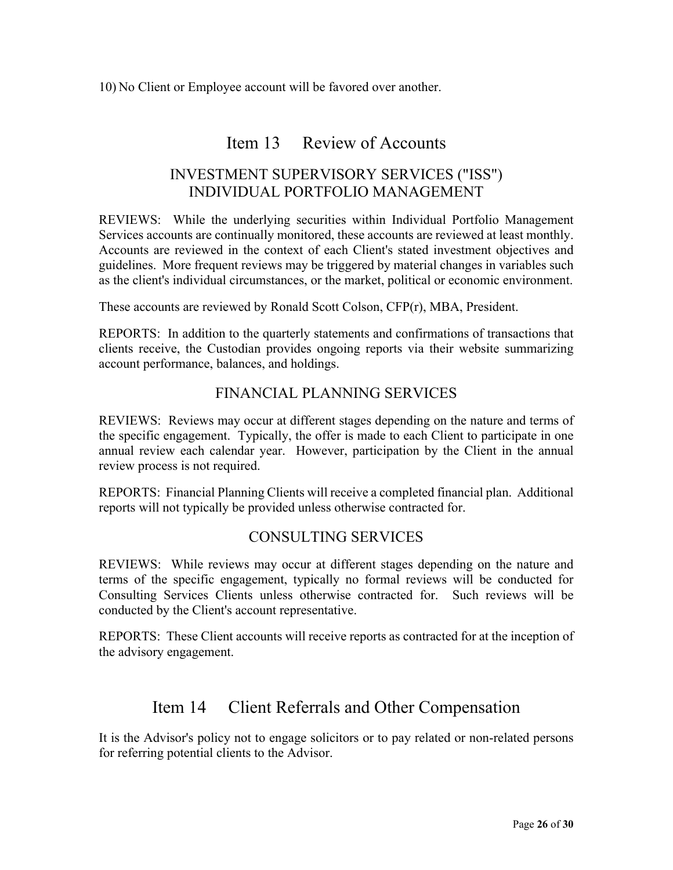10) No Client or Employee account will be favored over another.

## Item 13 Review of Accounts

## INVESTMENT SUPERVISORY SERVICES ("ISS") INDIVIDUAL PORTFOLIO MANAGEMENT

REVIEWS: While the underlying securities within Individual Portfolio Management Services accounts are continually monitored, these accounts are reviewed at least monthly. Accounts are reviewed in the context of each Client's stated investment objectives and guidelines. More frequent reviews may be triggered by material changes in variables such as the client's individual circumstances, or the market, political or economic environment.

These accounts are reviewed by Ronald Scott Colson, CFP(r), MBA, President.

REPORTS: In addition to the quarterly statements and confirmations of transactions that clients receive, the Custodian provides ongoing reports via their website summarizing account performance, balances, and holdings.

## FINANCIAL PLANNING SERVICES

REVIEWS: Reviews may occur at different stages depending on the nature and terms of the specific engagement. Typically, the offer is made to each Client to participate in one annual review each calendar year. However, participation by the Client in the annual review process is not required.

REPORTS: Financial Planning Clients will receive a completed financial plan. Additional reports will not typically be provided unless otherwise contracted for.

### CONSULTING SERVICES

REVIEWS: While reviews may occur at different stages depending on the nature and terms of the specific engagement, typically no formal reviews will be conducted for Consulting Services Clients unless otherwise contracted for. Such reviews will be conducted by the Client's account representative.

REPORTS: These Client accounts will receive reports as contracted for at the inception of the advisory engagement.

## Item 14 Client Referrals and Other Compensation

It is the Advisor's policy not to engage solicitors or to pay related or non-related persons for referring potential clients to the Advisor.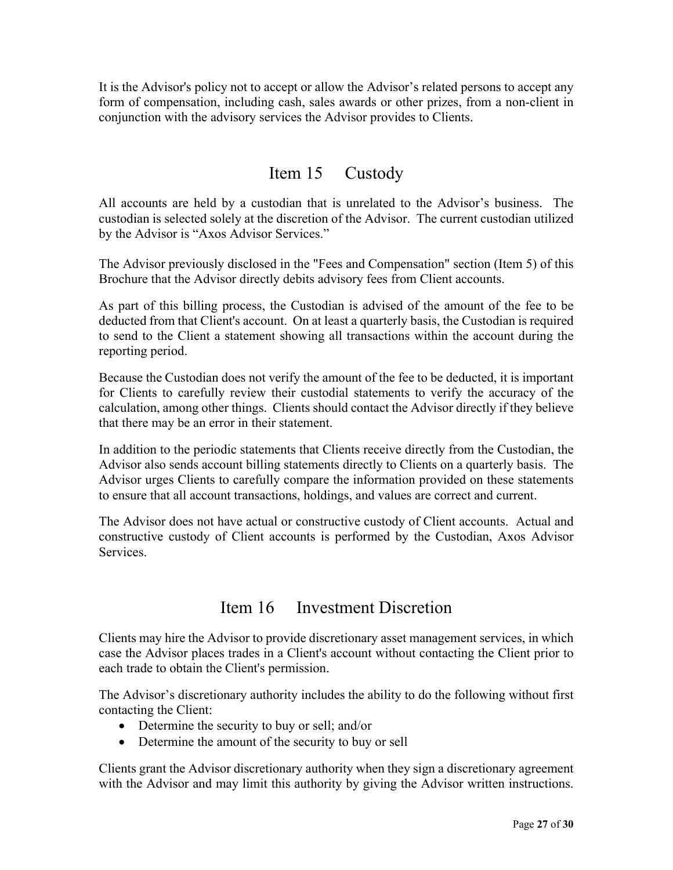It is the Advisor's policy not to accept or allow the Advisor's related persons to accept any form of compensation, including cash, sales awards or other prizes, from a non-client in conjunction with the advisory services the Advisor provides to Clients.

## Item 15 Custody

All accounts are held by a custodian that is unrelated to the Advisor's business. The custodian is selected solely at the discretion of the Advisor. The current custodian utilized by the Advisor is "Axos Advisor Services."

The Advisor previously disclosed in the "Fees and Compensation" section (Item 5) of this Brochure that the Advisor directly debits advisory fees from Client accounts.

As part of this billing process, the Custodian is advised of the amount of the fee to be deducted from that Client's account. On at least a quarterly basis, the Custodian is required to send to the Client a statement showing all transactions within the account during the reporting period.

Because the Custodian does not verify the amount of the fee to be deducted, it is important for Clients to carefully review their custodial statements to verify the accuracy of the calculation, among other things. Clients should contact the Advisor directly if they believe that there may be an error in their statement.

In addition to the periodic statements that Clients receive directly from the Custodian, the Advisor also sends account billing statements directly to Clients on a quarterly basis. The Advisor urges Clients to carefully compare the information provided on these statements to ensure that all account transactions, holdings, and values are correct and current.

The Advisor does not have actual or constructive custody of Client accounts. Actual and constructive custody of Client accounts is performed by the Custodian, Axos Advisor Services.

## Item 16 Investment Discretion

Clients may hire the Advisor to provide discretionary asset management services, in which case the Advisor places trades in a Client's account without contacting the Client prior to each trade to obtain the Client's permission.

The Advisor's discretionary authority includes the ability to do the following without first contacting the Client:

- Determine the security to buy or sell; and/or
- Determine the amount of the security to buy or sell

Clients grant the Advisor discretionary authority when they sign a discretionary agreement with the Advisor and may limit this authority by giving the Advisor written instructions.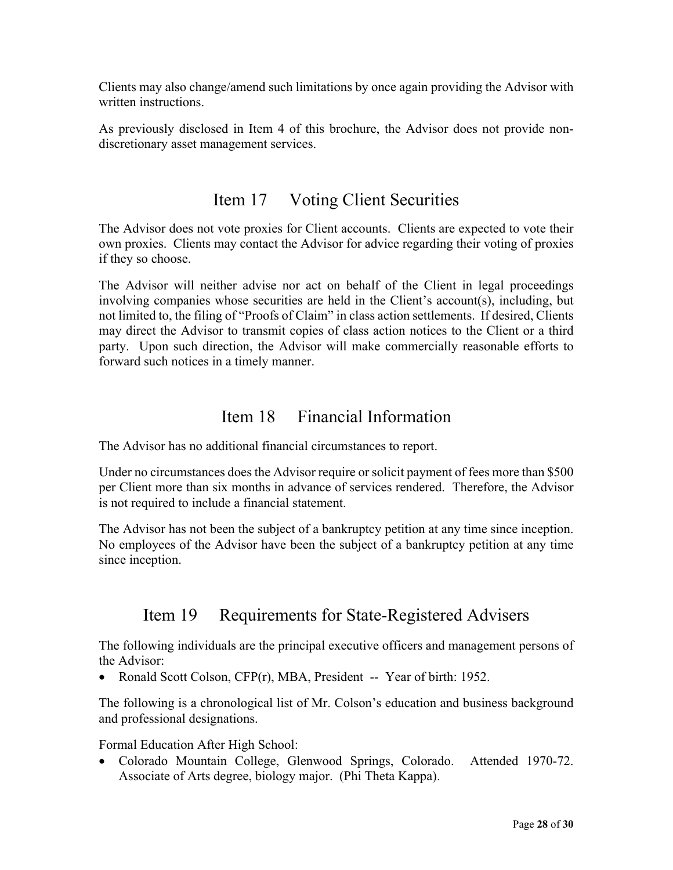Clients may also change/amend such limitations by once again providing the Advisor with written instructions.

As previously disclosed in Item 4 of this brochure, the Advisor does not provide nondiscretionary asset management services.

## Item 17 Voting Client Securities

The Advisor does not vote proxies for Client accounts. Clients are expected to vote their own proxies. Clients may contact the Advisor for advice regarding their voting of proxies if they so choose.

The Advisor will neither advise nor act on behalf of the Client in legal proceedings involving companies whose securities are held in the Client's account(s), including, but not limited to, the filing of "Proofs of Claim" in class action settlements. If desired, Clients may direct the Advisor to transmit copies of class action notices to the Client or a third party. Upon such direction, the Advisor will make commercially reasonable efforts to forward such notices in a timely manner.

## Item 18 Financial Information

The Advisor has no additional financial circumstances to report.

Under no circumstances does the Advisor require or solicit payment of fees more than \$500 per Client more than six months in advance of services rendered. Therefore, the Advisor is not required to include a financial statement.

The Advisor has not been the subject of a bankruptcy petition at any time since inception. No employees of the Advisor have been the subject of a bankruptcy petition at any time since inception.

# Item 19 Requirements for State-Registered Advisers

The following individuals are the principal executive officers and management persons of the Advisor:

• Ronald Scott Colson, CFP(r), MBA, President -- Year of birth: 1952.

The following is a chronological list of Mr. Colson's education and business background and professional designations.

Formal Education After High School:

 Colorado Mountain College, Glenwood Springs, Colorado. Attended 1970-72. Associate of Arts degree, biology major. (Phi Theta Kappa).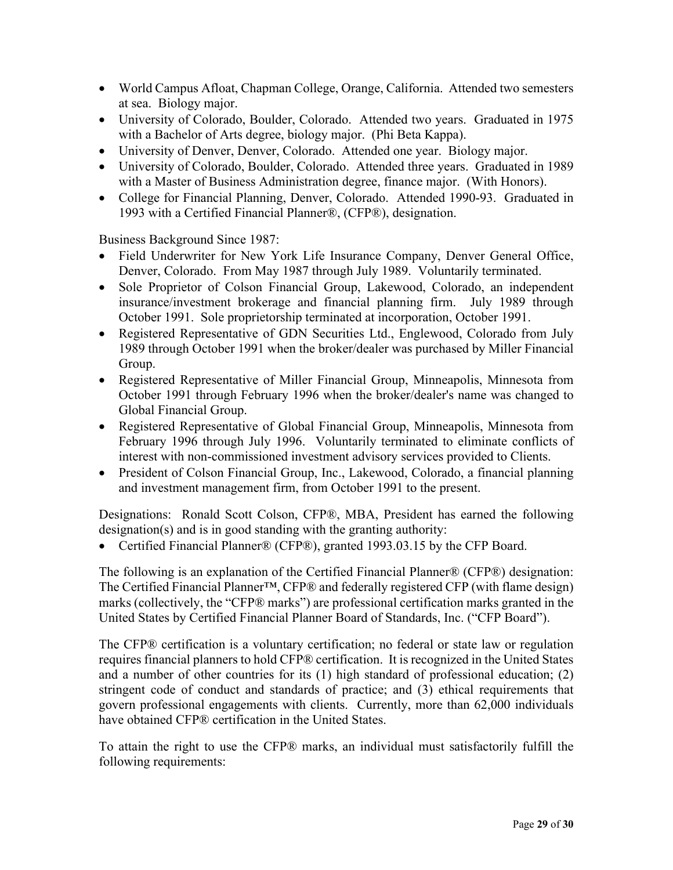- World Campus Afloat, Chapman College, Orange, California. Attended two semesters at sea. Biology major.
- University of Colorado, Boulder, Colorado. Attended two years. Graduated in 1975 with a Bachelor of Arts degree, biology major. (Phi Beta Kappa).
- University of Denver, Denver, Colorado. Attended one year. Biology major.
- University of Colorado, Boulder, Colorado. Attended three years. Graduated in 1989 with a Master of Business Administration degree, finance major. (With Honors).
- College for Financial Planning, Denver, Colorado. Attended 1990-93. Graduated in 1993 with a Certified Financial Planner®, (CFP®), designation.

Business Background Since 1987:

- Field Underwriter for New York Life Insurance Company, Denver General Office, Denver, Colorado. From May 1987 through July 1989. Voluntarily terminated.
- Sole Proprietor of Colson Financial Group, Lakewood, Colorado, an independent insurance/investment brokerage and financial planning firm. July 1989 through October 1991. Sole proprietorship terminated at incorporation, October 1991.
- Registered Representative of GDN Securities Ltd., Englewood, Colorado from July 1989 through October 1991 when the broker/dealer was purchased by Miller Financial Group.
- Registered Representative of Miller Financial Group, Minneapolis, Minnesota from October 1991 through February 1996 when the broker/dealer's name was changed to Global Financial Group.
- Registered Representative of Global Financial Group, Minneapolis, Minnesota from February 1996 through July 1996. Voluntarily terminated to eliminate conflicts of interest with non-commissioned investment advisory services provided to Clients.
- President of Colson Financial Group, Inc., Lakewood, Colorado, a financial planning and investment management firm, from October 1991 to the present.

Designations: Ronald Scott Colson, CFP®, MBA, President has earned the following designation(s) and is in good standing with the granting authority:

Certified Financial Planner® (CFP®), granted 1993.03.15 by the CFP Board.

The following is an explanation of the Certified Financial Planner® (CFP®) designation: The Certified Financial Planner™, CFP® and federally registered CFP (with flame design) marks (collectively, the "CFP® marks") are professional certification marks granted in the United States by Certified Financial Planner Board of Standards, Inc. ("CFP Board").

The CFP® certification is a voluntary certification; no federal or state law or regulation requires financial planners to hold CFP® certification. It is recognized in the United States and a number of other countries for its (1) high standard of professional education; (2) stringent code of conduct and standards of practice; and (3) ethical requirements that govern professional engagements with clients. Currently, more than 62,000 individuals have obtained CFP® certification in the United States.

To attain the right to use the CFP® marks, an individual must satisfactorily fulfill the following requirements: